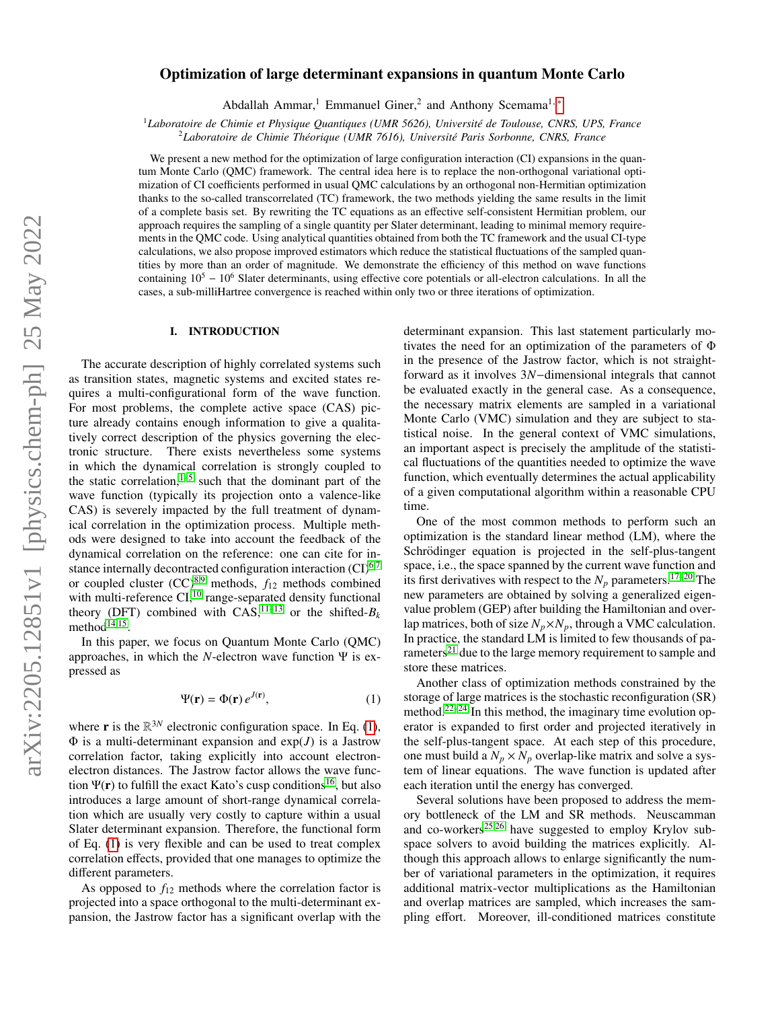# Optimization of large determinant expansions in quantum Monte Carlo

Abdallah Ammar,<sup>1</sup> Emmanuel Giner,<sup>2</sup> and Anthony Scemama<sup>1,\*</sup>

<sup>1</sup>Laboratoire de Chimie et Physique Quantiques (UMR 5626), Université de Toulouse, CNRS, UPS, France

<sup>2</sup>Laboratoire de Chimie Théorique (UMR 7616), Université Paris Sorbonne, CNRS, France

We present a new method for the optimization of large configuration interaction (CI) expansions in the quantum Monte Carlo (QMC) framework. The central idea here is to replace the non-orthogonal variational optimization of CI coefficients performed in usual QMC calculations by an orthogonal non-Hermitian optimization thanks to the so-called transcorrelated (TC) framework, the two methods yielding the same results in the limit of a complete basis set. By rewriting the TC equations as an effective self-consistent Hermitian problem, our approach requires the sampling of a single quantity per Slater determinant, leading to minimal memory requirements in the QMC code. Using analytical quantities obtained from both the TC framework and the usual CI-type calculations, we also propose improved estimators which reduce the statistical fluctuations of the sampled quantities by more than an order of magnitude. We demonstrate the efficiency of this method on wave functions containing  $10^5 - 10^6$  Slater determinants, using effective core potentials or all-electron calculations. In all the cases, a sub-milliHartree convergence is reached within only two or three iterations of optimization.

### I. INTRODUCTION

The accurate description of highly correlated systems such as transition states, magnetic systems and excited states requires a multi-configurational form of the wave function. For most problems, the complete active space (CAS) picture already contains enough information to give a qualitatively correct description of the physics governing the electronic structure. There exists nevertheless some systems in which the dynamical correlation is strongly coupled to the static correlation, $1-5$  $1-5$  such that the dominant part of the wave function (typically its projection onto a valence-like CAS) is severely impacted by the full treatment of dynamical correlation in the optimization process. Multiple methods were designed to take into account the feedback of the dynamical correlation on the reference: one can cite for instance internally decontracted configuration interaction  $(CI)^{6,7}$  $(CI)^{6,7}$  $(CI)^{6,7}$  $(CI)^{6,7}$ or coupled cluster (CC)[8,](#page-11-5)[9](#page-11-6) methods, *f*<sup>12</sup> methods combined with multi-reference  $CI$ ,  $^{10}$  $^{10}$  $^{10}$  range-separated density functional theory (DFT) combined with  $CAS$ ,<sup>[11–](#page-11-8)[13](#page-11-9)</sup> or the shifted- $B_k$ method $14,15$  $14,15$ .

In this paper, we focus on Quantum Monte Carlo (QMC) approaches, in which the *N*-electron wave function Ψ is expressed as

<span id="page-0-0"></span>
$$
\Psi(\mathbf{r}) = \Phi(\mathbf{r}) e^{J(\mathbf{r})},\tag{1}
$$

where **r** is the  $\mathbb{R}^{3N}$  electronic configuration space. In Eq. [\(1\)](#page-0-0),  $\Phi$  is a multi-determinant expansion and  $exp(J)$  is a Jastrow correlation factor, taking explicitly into account electronelectron distances. The Jastrow factor allows the wave function  $\Psi(\mathbf{r})$  to fulfill the exact Kato's cusp conditions<sup>[16](#page-11-12)</sup>, but also introduces a large amount of short-range dynamical correlation which are usually very costly to capture within a usual Slater determinant expansion. Therefore, the functional form of Eq. [\(1\)](#page-0-0) is very flexible and can be used to treat complex correlation effects, provided that one manages to optimize the different parameters.

As opposed to  $f_{12}$  methods where the correlation factor is projected into a space orthogonal to the multi-determinant expansion, the Jastrow factor has a significant overlap with the determinant expansion. This last statement particularly motivates the need for an optimization of the parameters of Φ in the presence of the Jastrow factor, which is not straightforward as it involves 3*N*−dimensional integrals that cannot be evaluated exactly in the general case. As a consequence, the necessary matrix elements are sampled in a variational Monte Carlo (VMC) simulation and they are subject to statistical noise. In the general context of VMC simulations, an important aspect is precisely the amplitude of the statistical fluctuations of the quantities needed to optimize the wave function, which eventually determines the actual applicability of a given computational algorithm within a reasonable CPU time.

One of the most common methods to perform such an optimization is the standard linear method (LM), where the Schrödinger equation is projected in the self-plus-tangent space, i.e., the space spanned by the current wave function and its first derivatives with respect to the  $N_p$  parameters.<sup>[17](#page-11-13)[–20](#page-11-14)</sup> The new parameters are obtained by solving a generalized eigenvalue problem (GEP) after building the Hamiltonian and overlap matrices, both of size  $N_p \times N_p$ , through a VMC calculation. In practice, the standard LM is limited to few thousands of pa-rameters<sup>[21](#page-12-0)</sup> due to the large memory requirement to sample and store these matrices.

Another class of optimization methods constrained by the storage of large matrices is the stochastic reconfiguration (SR) method.<sup>[22](#page-12-1)[–24](#page-12-2)</sup> In this method, the imaginary time evolution operator is expanded to first order and projected iteratively in the self-plus-tangent space. At each step of this procedure, one must build a  $N_p \times N_p$  overlap-like matrix and solve a system of linear equations. The wave function is updated after each iteration until the energy has converged.

Several solutions have been proposed to address the memory bottleneck of the LM and SR methods. Neuscamman and co-workers<sup>[25](#page-12-3)[,26](#page-12-4)</sup> have suggested to employ Krylov subspace solvers to avoid building the matrices explicitly. Although this approach allows to enlarge significantly the number of variational parameters in the optimization, it requires additional matrix-vector multiplications as the Hamiltonian and overlap matrices are sampled, which increases the sampling effort. Moreover, ill-conditioned matrices constitute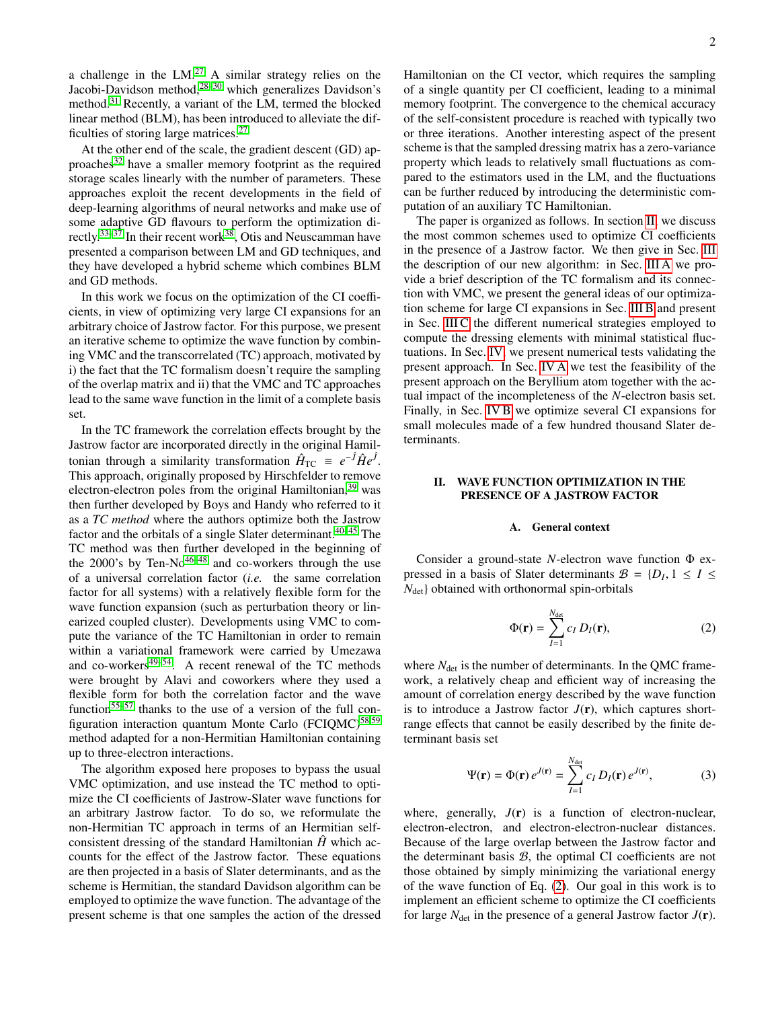a challenge in the  $LM.^{27}$  $LM.^{27}$  $LM.^{27}$  A similar strategy relies on the Jacobi-Davidson method,<sup>[28–](#page-12-6)[30](#page-12-7)</sup> which generalizes Davidson's method.[31](#page-12-8) Recently, a variant of the LM, termed the blocked linear method (BLM), has been introduced to alleviate the difficulties of storing large matrices.[27](#page-12-5)

At the other end of the scale, the gradient descent (GD) ap-proaches<sup>[32](#page-12-9)</sup> have a smaller memory footprint as the required storage scales linearly with the number of parameters. These approaches exploit the recent developments in the field of deep-learning algorithms of neural networks and make use of some adaptive GD flavours to perform the optimization di-rectly.<sup>[33](#page-12-10)[–37](#page-12-11)</sup> In their recent work<sup>[38](#page-12-12)</sup>, Otis and Neuscamman have presented a comparison between LM and GD techniques, and they have developed a hybrid scheme which combines BLM and GD methods.

In this work we focus on the optimization of the CI coefficients, in view of optimizing very large CI expansions for an arbitrary choice of Jastrow factor. For this purpose, we present an iterative scheme to optimize the wave function by combining VMC and the transcorrelated (TC) approach, motivated by i) the fact that the TC formalism doesn't require the sampling of the overlap matrix and ii) that the VMC and TC approaches lead to the same wave function in the limit of a complete basis set.

In the TC framework the correlation effects brought by the Jastrow factor are incorporated directly in the original Hamiltonian through a similarity transformation  $\hat{H}_{\text{TC}} = e^{-\hat{f}} \hat{H} e^{\hat{f}}$ . This approach, originally proposed by Hirschfelder to remove electron-electron poles from the original Hamiltonian,<sup>[39](#page-12-13)</sup> was then further developed by Boys and Handy who referred to it as a *TC method* where the authors optimize both the Jastrow factor and the orbitals of a single Slater determinant.[40–](#page-12-14)[45](#page-12-15) The TC method was then further developed in the beginning of the  $2000$ 's by Ten-No<sup>[46–](#page-12-16)[48](#page-12-17)</sup> and co-workers through the use of a universal correlation factor (*i.e.* the same correlation factor for all systems) with a relatively flexible form for the wave function expansion (such as perturbation theory or linearized coupled cluster). Developments using VMC to compute the variance of the TC Hamiltonian in order to remain within a variational framework were carried by Umezawa and co-workers $49-54$  $49-54$ . A recent renewal of the TC methods were brought by Alavi and coworkers where they used a flexible form for both the correlation factor and the wave function<sup>[55–](#page-12-20)[57](#page-12-21)</sup> thanks to the use of a version of the full con-figuration interaction quantum Monte Carlo (FCIQMC)<sup>[58,](#page-12-22)[59](#page-12-23)</sup> method adapted for a non-Hermitian Hamiltonian containing up to three-electron interactions.

The algorithm exposed here proposes to bypass the usual VMC optimization, and use instead the TC method to optimize the CI coefficients of Jastrow-Slater wave functions for an arbitrary Jastrow factor. To do so, we reformulate the non-Hermitian TC approach in terms of an Hermitian selfconsistent dressing of the standard Hamiltonian  $\hat{H}$ <sup>n</sup> which accounts for the effect of the Jastrow factor. These equations are then projected in a basis of Slater determinants, and as the scheme is Hermitian, the standard Davidson algorithm can be employed to optimize the wave function. The advantage of the present scheme is that one samples the action of the dressed Hamiltonian on the CI vector, which requires the sampling of a single quantity per CI coefficient, leading to a minimal memory footprint. The convergence to the chemical accuracy of the self-consistent procedure is reached with typically two or three iterations. Another interesting aspect of the present scheme is that the sampled dressing matrix has a zero-variance property which leads to relatively small fluctuations as compared to the estimators used in the LM, and the fluctuations can be further reduced by introducing the deterministic computation of an auxiliary TC Hamiltonian.

The paper is organized as follows. In section [II,](#page-1-0) we discuss the most common schemes used to optimize CI coefficients in the presence of a Jastrow factor. We then give in Sec. [III](#page-2-0) the description of our new algorithm: in Sec. [III A](#page-2-1) we provide a brief description of the TC formalism and its connection with VMC, we present the general ideas of our optimization scheme for large CI expansions in Sec. [III B](#page-3-0) and present in Sec. [III C](#page-4-0) the different numerical strategies employed to compute the dressing elements with minimal statistical fluctuations. In Sec. [IV,](#page-6-0) we present numerical tests validating the present approach. In Sec. [IV A](#page-6-1) we test the feasibility of the present approach on the Beryllium atom together with the actual impact of the incompleteness of the *N*-electron basis set. Finally, in Sec. [IV B](#page-7-0) we optimize several CI expansions for small molecules made of a few hundred thousand Slater determinants.

# <span id="page-1-0"></span>II. WAVE FUNCTION OPTIMIZATION IN THE PRESENCE OF A JASTROW FACTOR

### A. General context

Consider a ground-state *N*-electron wave function Φ expressed in a basis of Slater determinants  $B = \{D_I, 1 \le I \le N_{4} \}$  obtained with orthonormal spin-orbitals  $N<sub>det</sub>$  obtained with orthonormal spin-orbitals

<span id="page-1-1"></span>
$$
\Phi(\mathbf{r}) = \sum_{I=1}^{N_{\text{det}}} c_I D_I(\mathbf{r}), \qquad (2)
$$

where  $N_{\text{det}}$  is the number of determinants. In the QMC framework, a relatively cheap and efficient way of increasing the amount of correlation energy described by the wave function is to introduce a Jastrow factor  $J(\mathbf{r})$ , which captures shortrange effects that cannot be easily described by the finite determinant basis set

<span id="page-1-2"></span>
$$
\Psi(\mathbf{r}) = \Phi(\mathbf{r}) e^{J(\mathbf{r})} = \sum_{I=1}^{N_{\text{det}}} c_I D_I(\mathbf{r}) e^{J(\mathbf{r})},
$$
(3)

where, generally,  $J(r)$  is a function of electron-nuclear, electron-electron, and electron-electron-nuclear distances. Because of the large overlap between the Jastrow factor and the determinant basis B, the optimal CI coefficients are not those obtained by simply minimizing the variational energy of the wave function of Eq. [\(2\)](#page-1-1). Our goal in this work is to implement an efficient scheme to optimize the CI coefficients for large  $N_{\text{det}}$  in the presence of a general Jastrow factor  $J(\mathbf{r})$ .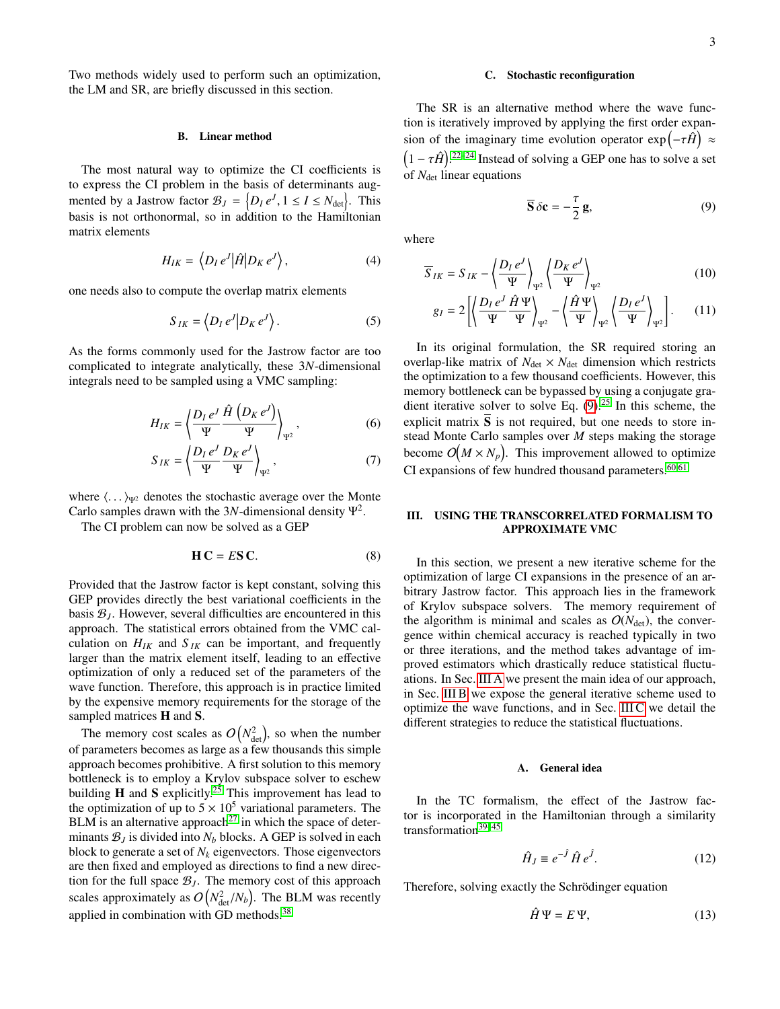Two methods widely used to perform such an optimization, the LM and SR, are briefly discussed in this section.

#### B. Linear method

The most natural way to optimize the CI coefficients is to express the CI problem in the basis of determinants augmented by a Jastrow factor  $B_J = \{D_I e^J, 1 \le I \le N_{\text{det}}\}$ . This basis is not orthonormal, so in addition to the Hamiltonian matrix elements

$$
H_{IK} = \langle D_I e^J | \hat{H} | D_K e^J \rangle, \qquad (4)
$$

one needs also to compute the overlap matrix elements

$$
S_{IK} = \left\langle D_I \, e^J \middle| D_K \, e^J \right\rangle. \tag{5}
$$

As the forms commonly used for the Jastrow factor are too complicated to integrate analytically, these 3*N*-dimensional integrals need to be sampled using a VMC sampling:

$$
H_{IK} = \left\langle \frac{D_I e^J}{\Psi} \frac{\hat{H} \left( D_K e^J \right)}{\Psi} \right\rangle_{\Psi^2}, \tag{6}
$$

$$
S_{IK} = \left\langle \frac{D_I e^J}{\Psi} \frac{D_K e^J}{\Psi} \right\rangle_{\Psi^2},\tag{7}
$$

where  $\langle \ldots \rangle_{\Psi^2}$  denotes the stochastic average over the Monte Carlo samples drawn with the 3N-dimensional density  $\Psi^2$ .

The CI problem can now be solved as a GEP

<span id="page-2-3"></span>
$$
HC = ES C.
$$
 (8)

Provided that the Jastrow factor is kept constant, solving this GEP provides directly the best variational coefficients in the basis  $B<sub>J</sub>$ . However, several difficulties are encountered in this approach. The statistical errors obtained from the VMC calculation on  $H_{IK}$  and  $S_{IK}$  can be important, and frequently larger than the matrix element itself, leading to an effective optimization of only a reduced set of the parameters of the wave function. Therefore, this approach is in practice limited by the expensive memory requirements for the storage of the sampled matrices **H** and **S**.

The memory cost scales as  $O(N_{\text{det}}^2)$ , so when the number of parameters becomes as large as a few thousands this simple approach becomes prohibitive. A first solution to this memory bottleneck is to employ a Krylov subspace solver to eschew building **H** and **S** explicitly.<sup>[25](#page-12-3)</sup> This improvement has lead to the optimization of up to  $5 \times 10^5$  variational parameters. The BLM is an alternative approach<sup>[27](#page-12-5)</sup> in which the space of determinants  $B_J$  is divided into  $N_b$  blocks. A GEP is solved in each block to generate a set of *N<sup>k</sup>* eigenvectors. Those eigenvectors are then fixed and employed as directions to find a new direction for the full space  $B_J$ . The memory cost of this approach scales approximately as  $O(N_{\text{det}}^2/N_b)$ . The BLM was recently applied in combination with GD methods.[38](#page-12-12)

### C. Stochastic reconfiguration

The SR is an alternative method where the wave function is iteratively improved by applying the first order expansion of the imaginary time evolution operator  $\exp(-\tau \hat{H}) \approx$  $(1 - \tau \hat{H})^{22-24}$  $(1 - \tau \hat{H})^{22-24}$  $(1 - \tau \hat{H})^{22-24}$  Instead of solving a GEP one has to solve a set of  $N_{\text{det}}$  linear equations

<span id="page-2-2"></span>
$$
\overline{\mathbf{S}}\,\delta\mathbf{c} = -\frac{\tau}{2}\,\mathbf{g},\tag{9}
$$

where

$$
\overline{S}_{IK} = S_{IK} - \left\langle \frac{D_I e^J}{\Psi} \right\rangle_{\Psi^2} \left\langle \frac{D_K e^J}{\Psi} \right\rangle_{\Psi^2}
$$
(10)

$$
g_I = 2\left[ \left\langle \frac{D_I e^J}{\Psi} \frac{\hat{H} \Psi}{\Psi} \right\rangle_{\Psi^2} - \left\langle \frac{\hat{H} \Psi}{\Psi} \right\rangle_{\Psi^2} \left\langle \frac{D_I e^J}{\Psi} \right\rangle_{\Psi^2} \right].
$$
 (11)

In its original formulation, the SR required storing an overlap-like matrix of  $N_{\text{det}} \times N_{\text{det}}$  dimension which restricts the optimization to a few thousand coefficients. However, this memory bottleneck can be bypassed by using a conjugate gradient iterative solver to solve Eq.  $(9)$ .<sup>[25](#page-12-3)</sup> In this scheme, the explicit matrix  $\overline{S}$  is not required, but one needs to store instead Monte Carlo samples over *M* steps making the storage become  $O(M \times N_p)$ . This improvement allowed to optimize CI expansions of few hundred thousand parameters. $60,61$  $60,61$ 

### <span id="page-2-0"></span>III. USING THE TRANSCORRELATED FORMALISM TO APPROXIMATE VMC

In this section, we present a new iterative scheme for the optimization of large CI expansions in the presence of an arbitrary Jastrow factor. This approach lies in the framework of Krylov subspace solvers. The memory requirement of the algorithm is minimal and scales as  $O(N_{\text{det}})$ , the convergence within chemical accuracy is reached typically in two or three iterations, and the method takes advantage of improved estimators which drastically reduce statistical fluctuations. In Sec. [III A](#page-2-1) we present the main idea of our approach, in Sec. [III B](#page-3-0) we expose the general iterative scheme used to optimize the wave functions, and in Sec. [III C](#page-4-0) we detail the different strategies to reduce the statistical fluctuations.

### <span id="page-2-1"></span>A. General idea

In the TC formalism, the effect of the Jastrow factor is incorporated in the Hamiltonian through a similarity transformation<sup>39-[45](#page-12-15)</sup>

$$
\hat{H}_J \equiv e^{-\hat{J}} \hat{H} e^{\hat{J}}.
$$
 (12)

Therefore, solving exactly the Schrödinger equation

$$
\hat{H}\Psi = E\Psi,\tag{13}
$$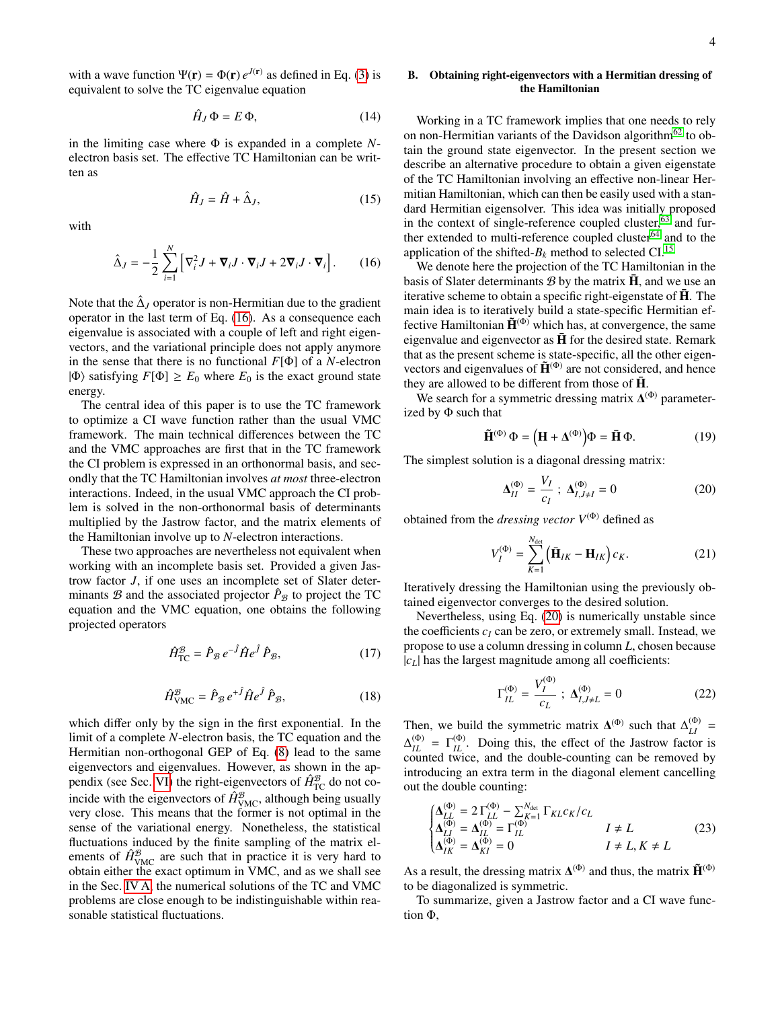with a wave function  $\Psi(\mathbf{r}) = \Phi(\mathbf{r}) e^{J(\mathbf{r})}$  as defined in Eq. [\(3\)](#page-1-2) is equivalent to solve the TC eigenvalue equation

$$
\hat{H}_J \, \Phi = E \, \Phi,\tag{14}
$$

in the limiting case where Φ is expanded in a complete *N*electron basis set. The effective TC Hamiltonian can be written as

$$
\hat{H}_J = \hat{H} + \hat{\Delta}_J,\tag{15}
$$

with

<span id="page-3-1"></span>
$$
\hat{\Delta}_J = -\frac{1}{2} \sum_{i=1}^N \left[ \nabla_i^2 J + \mathbf{\nabla}_i J \cdot \mathbf{\nabla}_i J + 2 \mathbf{\nabla}_i J \cdot \mathbf{\nabla}_i \right].
$$
 (16)

Note that the  $\hat{\Delta}_J$  operator is non-Hermitian due to the gradient operator in the last term of Eq. [\(16\)](#page-3-1). As a consequence each eigenvalue is associated with a couple of left and right eigenvectors, and the variational principle does not apply anymore in the sense that there is no functional *F*[Φ] of a *N*-electron  $|\Phi\rangle$  satisfying  $F[\Phi] \ge E_0$  where  $E_0$  is the exact ground state energy.

The central idea of this paper is to use the TC framework to optimize a CI wave function rather than the usual VMC framework. The main technical differences between the TC and the VMC approaches are first that in the TC framework the CI problem is expressed in an orthonormal basis, and secondly that the TC Hamiltonian involves *at most* three-electron interactions. Indeed, in the usual VMC approach the CI problem is solved in the non-orthonormal basis of determinants multiplied by the Jastrow factor, and the matrix elements of the Hamiltonian involve up to *N*-electron interactions.

These two approaches are nevertheless not equivalent when working with an incomplete basis set. Provided a given Jastrow factor *J*, if one uses an incomplete set of Slater determinants  $\mathcal{B}$  and the associated projector  $\hat{P}_{\mathcal{B}}$  to project the TC equation and the VMC equation, one obtains the following projected operators

$$
\hat{H}_{\rm TC}^{\mathcal{B}} = \hat{P}_{\mathcal{B}} e^{-\hat{f}} \hat{H} e^{\hat{f}} \hat{P}_{\mathcal{B}},\tag{17}
$$

$$
\hat{H}^{\mathcal{B}}_{\text{VMC}} = \hat{P}_{\mathcal{B}} e^{+\hat{J}} \hat{H} e^{\hat{J}} \hat{P}_{\mathcal{B}},\tag{18}
$$

which differ only by the sign in the first exponential. In the limit of a complete *N*-electron basis, the TC equation and the Hermitian non-orthogonal GEP of Eq. [\(8\)](#page-2-3) lead to the same eigenvectors and eigenvalues. However, as shown in the ap-pendix (see Sec. [VI\)](#page-10-0) the right-eigenvectors of  $\hat{H}_{\text{TC}}^{\mathcal{B}}$  do not coincide with the eigenvectors of  $\hat{H}_{\text{VMC}}^{\mathcal{B}}$ , although being usually very close. This means that the former is not optimal in the sense of the variational energy. Nonetheless, the statistical fluctuations induced by the finite sampling of the matrix elements of  $\hat{H}_{\text{VMC}}^{\mathcal{B}}$  are such that in practice it is very hard to obtain either the exact optimum in VMC, and as we shall see in the Sec. [IV A,](#page-6-1) the numerical solutions of the TC and VMC problems are close enough to be indistinguishable within reasonable statistical fluctuations.

# <span id="page-3-0"></span>B. Obtaining right-eigenvectors with a Hermitian dressing of the Hamiltonian

Working in a TC framework implies that one needs to rely on non-Hermitian variants of the Davidson algorithm<sup>[62](#page-12-26)</sup> to obtain the ground state eigenvector. In the present section we describe an alternative procedure to obtain a given eigenstate of the TC Hamiltonian involving an effective non-linear Hermitian Hamiltonian, which can then be easily used with a standard Hermitian eigensolver. This idea was initially proposed in the context of single-reference coupled cluster, $63$  and fur-ther extended to multi-reference coupled cluster<sup>[64](#page-12-28)</sup> and to the application of the shifted- $B_k$  method to selected CI.<sup>[15](#page-11-11)</sup>

We denote here the projection of the TC Hamiltonian in the basis of Slater determinants  $\mathcal{B}$  by the matrix  $\bar{H}$ , and we use an iterative scheme to obtain a specific right-eigenstate of  $\bar{H}$ . The main idea is to iteratively build a state-specific Hermitian effective Hamiltonian  $\tilde{H}^{(\Phi)}$  which has, at convergence, the same eigenvalue and eigenvector as  $\bar{H}$  for the desired state. Remark that as the present scheme is state-specific, all the other eigenvectors and eigenvalues of  $\tilde{H}^{(\Phi)}$  are not considered, and hence they are allowed to be different from those of  $\overline{H}$ .

We search for a symmetric dressing matrix  $\Delta^{(\Phi)}$  parameterized by  $\Phi$  such that

$$
\tilde{\mathbf{H}}^{(\Phi)} \Phi = \left( \mathbf{H} + \Delta^{(\Phi)} \right) \Phi = \bar{\mathbf{H}} \Phi.
$$
 (19)

The simplest solution is a diagonal dressing matrix:

<span id="page-3-2"></span>
$$
\Delta_{II}^{(\Phi)} = \frac{V_I}{c_I} \; ; \; \Delta_{I,J \neq I}^{(\Phi)} = 0 \tag{20}
$$

obtained from the *dressing vector*  $V^{(\Phi)}$  defined as

$$
V_I^{(\Phi)} = \sum_{K=1}^{N_{\text{det}}} \left( \bar{\mathbf{H}}_{IK} - \mathbf{H}_{IK} \right) c_K.
$$
 (21)

Iteratively dressing the Hamiltonian using the previously obtained eigenvector converges to the desired solution.

Nevertheless, using Eq. [\(20\)](#page-3-2) is numerically unstable since the coefficients  $c_I$  can be zero, or extremely small. Instead, we propose to use a column dressing in column *L*, chosen because  $|c_L|$  has the largest magnitude among all coefficients:

$$
\Gamma_{IL}^{(\Phi)} = \frac{V_I^{(\Phi)}}{c_L} \; ; \; \Delta_{I,J \neq L}^{(\Phi)} = 0 \tag{22}
$$

Then, we build the symmetric matrix  $\Delta^{(\Phi)}$  such that  $\Delta_{LI}^{(\Phi)}$  =  $\Delta_{IL}^{(\Phi)} = \Gamma_{IL}^{(\Phi)}$ . Doing this, the effect of the Jastrow factor is counted twice, and the double-counting can be removed by introducing an extra term in the diagonal element cancelling out the double counting:

$$
\begin{cases}\n\Delta_{LL}^{(0)} = 2 \Gamma_{LL}^{(0)} - \sum_{K=1}^{N_{\text{det}}} \Gamma_{KL} c_K / c_L \\
\Delta_{LI}^{(0)} = \Delta_{IL}^{(0)} = \Gamma_{IL}^{(0)} & I \neq L \\
\Delta_{IK}^{(0)} = \Delta_{KI}^{(0)} = 0 & I \neq L, K \neq L\n\end{cases}
$$
\n(23)

As a result, the dressing matrix  $\mathbf{\Delta}^{(\Phi)}$  and thus, the matrix  $\mathbf{\tilde{H}}^{(\Phi)}$ to be diagonalized is symmetric.

To summarize, given a Jastrow factor and a CI wave function Φ,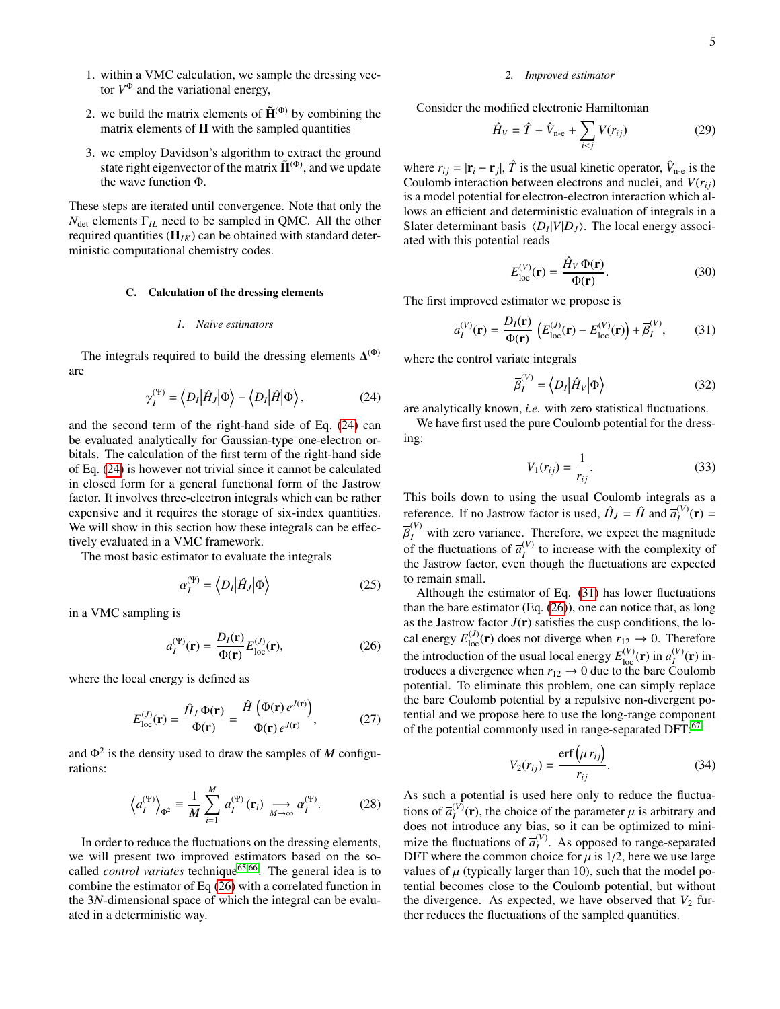- 1. within a VMC calculation, we sample the dressing vector  $V^{\Phi}$  and the variational energy,
- 2. we build the matrix elements of  $\tilde{H}^{(\Phi)}$  by combining the matrix elements of  $H$  with the sampled quantities
- 3. we employ Davidson's algorithm to extract the ground state right eigenvector of the matrix  $\tilde{H}^{(\Phi)}$ , and we update the wave function Φ.

These steps are iterated until convergence. Note that only the  $N_{\text{det}}$  elements  $\Gamma_{IL}$  need to be sampled in QMC. All the other required quantities (H*IK*) can be obtained with standard deterministic computational chemistry codes.

## <span id="page-4-0"></span>C. Calculation of the dressing elements

#### *1. Naive estimators*

The integrals required to build the dressing elements  $\Delta^{(\Phi)}$ are

<span id="page-4-1"></span>
$$
\gamma_I^{(\Psi)} = \langle D_I | \hat{H}_J | \Phi \rangle - \langle D_I | \hat{H} | \Phi \rangle, \tag{24}
$$

and the second term of the right-hand side of Eq. [\(24\)](#page-4-1) can be evaluated analytically for Gaussian-type one-electron orbitals. The calculation of the first term of the right-hand side of Eq. [\(24\)](#page-4-1) is however not trivial since it cannot be calculated in closed form for a general functional form of the Jastrow factor. It involves three-electron integrals which can be rather expensive and it requires the storage of six-index quantities. We will show in this section how these integrals can be effectively evaluated in a VMC framework.

The most basic estimator to evaluate the integrals

$$
\alpha_I^{(\Psi)} = \left\langle D_I | \hat{H}_J | \Phi \right\rangle \tag{25}
$$

in a VMC sampling is

<span id="page-4-2"></span>
$$
a_{I}^{(\Psi)}(\mathbf{r}) = \frac{D_{I}(\mathbf{r})}{\Phi(\mathbf{r})} E_{\text{loc}}^{(J)}(\mathbf{r}),
$$
\n(26)

where the local energy is defined as

$$
E_{\text{loc}}^{(J)}(\mathbf{r}) = \frac{\hat{H}_J \Phi(\mathbf{r})}{\Phi(\mathbf{r})} = \frac{\hat{H} \left( \Phi(\mathbf{r}) e^{J(\mathbf{r})} \right)}{\Phi(\mathbf{r}) e^{J(\mathbf{r})}},
$$
(27)

and  $\Phi^2$  is the density used to draw the samples of *M* configurations:

$$
\left\langle a_{I}^{(\Psi)}\right\rangle_{\Phi^{2}} \equiv \frac{1}{M} \sum_{i=1}^{M} a_{I}^{(\Psi)}(\mathbf{r}_{i}) \xrightarrow[M \to \infty]{} a_{I}^{(\Psi)}.\tag{28}
$$

In order to reduce the fluctuations on the dressing elements, we will present two improved estimators based on the socalled *control variates* technique[65,](#page-12-29)[66](#page-12-30). The general idea is to combine the estimator of Eq [\(26\)](#page-4-2) with a correlated function in the 3*N*-dimensional space of which the integral can be evaluated in a deterministic way.

#### *2. Improved estimator*

Consider the modified electronic Hamiltonian

$$
\hat{H}_V = \hat{T} + \hat{V}_{\text{n-e}} + \sum_{i < j} V(r_{ij}) \tag{29}
$$

where  $r_{ij} = |\mathbf{r}_i - \mathbf{r}_j|$ ,  $\hat{T}$  is the usual kinetic operator,  $\hat{V}_{n-e}$  is the Coulomb interaction between electrons and nuclei, and  $V(r_{ij})$ is a model potential for electron-electron interaction which allows an efficient and deterministic evaluation of integrals in a Slater determinant basis  $\langle D_I | V | D_J \rangle$ . The local energy associated with this potential reads

$$
E_{\text{loc}}^{(V)}(\mathbf{r}) = \frac{\hat{H}_V \Phi(\mathbf{r})}{\Phi(\mathbf{r})}.
$$
 (30)

The first improved estimator we propose is

<span id="page-4-3"></span>
$$
\overline{a}_{I}^{(V)}(\mathbf{r}) = \frac{D_{I}(\mathbf{r})}{\Phi(\mathbf{r})} \left( E_{\text{loc}}^{(J)}(\mathbf{r}) - E_{\text{loc}}^{(V)}(\mathbf{r}) \right) + \overline{\beta}_{I}^{(V)},\tag{31}
$$

where the control variate integrals

$$
\overline{\beta}_I^{(V)} = \left\langle D_I \middle| \hat{H}_V \middle| \Phi \right\rangle \tag{32}
$$

are analytically known, *i.e.* with zero statistical fluctuations.

We have first used the pure Coulomb potential for the dressing:

<span id="page-4-4"></span>
$$
V_1(r_{ij}) = \frac{1}{r_{ij}}.\tag{33}
$$

This boils down to using the usual Coulomb integrals as a reference. If no Jastrow factor is used,  $\hat{H}_J = \hat{H}$  and  $\overline{a}_I^{(V)}(\mathbf{r}) =$ of the fluctuations of  $\overline{a}_I^{(V)}$  to increase with the complexity of  $I_I^{(V)}$  with zero variance. Therefore, we expect the magnitude the Jastrow factor, even though the fluctuations are expected to remain small.

Although the estimator of Eq. [\(31\)](#page-4-3) has lower fluctuations than the bare estimator (Eq. [\(26\)](#page-4-2)), one can notice that, as long as the Jastrow factor  $J(r)$  satisfies the cusp conditions, the local energy  $E_{\text{loc}}^{(J)}(\mathbf{r})$  does not diverge when  $r_{12} \rightarrow 0$ . Therefore the introduction of the usual local energy  $E_{\text{loc}}^{(V)}(\mathbf{r})$  in  $\overline{a}_{I}^{(V)}(\mathbf{r})$  introduces a divergence when  $r_{12} \rightarrow 0$  due to the bare Coulomb potential. To eliminate this problem, one can simply replace the bare Coulomb potential by a repulsive non-divergent potential and we propose here to use the long-range component of the potential commonly used in range-separated DFT:<sup>[67](#page-12-31)</sup>

<span id="page-4-5"></span>
$$
V_2(r_{ij}) = \frac{\text{erf}\left(\mu r_{ij}\right)}{r_{ij}}.\tag{34}
$$

As such a potential is used here only to reduce the fluctuations of  $\overline{a}_i^{(V)}(\mathbf{r})$ , the choice of the parameter  $\mu$  is arbitrary and does not introduce any bias, so it can be optimized to minidoes not introduce any bias, so it can be optimized to minimize the fluctuations of  $\overline{a}_I^{(V)}$ . As opposed to range-separated DFT where the common choice for  $\mu$  is 1/2, here we use large values of  $\mu$  (typically larger than 10), such that the model potential becomes close to the Coulomb potential, but without the divergence. As expected, we have observed that  $V_2$  further reduces the fluctuations of the sampled quantities.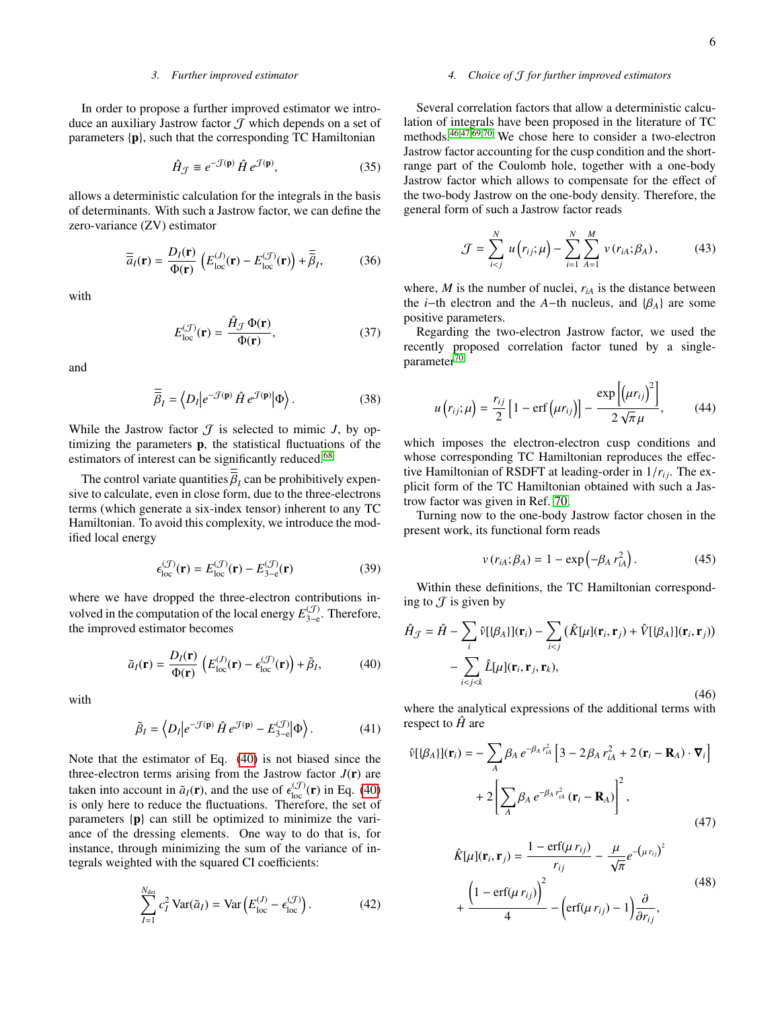### *3. Further improved estimator*

In order to propose a further improved estimator we introduce an auxiliary Jastrow factor  $J$  which depends on a set of parameters {p}, such that the corresponding TC Hamiltonian

$$
\hat{H}_{\mathcal{J}} \equiv e^{-\mathcal{J}(\mathbf{p})} \hat{H} e^{\mathcal{J}(\mathbf{p})},\tag{35}
$$

allows a deterministic calculation for the integrals in the basis of determinants. With such a Jastrow factor, we can define the zero-variance (ZV) estimator

<span id="page-5-1"></span>
$$
\overline{\overline{a}}_I(\mathbf{r}) = \frac{D_I(\mathbf{r})}{\Phi(\mathbf{r})} \left( E_{\text{loc}}^{(J)}(\mathbf{r}) - E_{\text{loc}}^{(J)}(\mathbf{r}) \right) + \overline{\overline{\beta}}_I, \tag{36}
$$

with

$$
E_{\text{loc}}^{(\mathcal{J})}(\mathbf{r}) = \frac{\hat{H}_{\mathcal{J}} \Phi(\mathbf{r})}{\Phi(\mathbf{r})},\tag{37}
$$

and

$$
\overline{\overline{\beta}}_I = \left\langle D_I \middle| e^{-\mathcal{J}(\mathbf{p})} \hat{H} e^{\mathcal{J}(\mathbf{p})} \middle| \Phi \right\rangle. \tag{38}
$$

While the Jastrow factor  $\mathcal T$  is selected to mimic  $J$ , by optimizing the parameters p, the statistical fluctuations of the estimators of interest can be significantly reduced.<sup>[68](#page-12-32)</sup>

The control variate quantities  $\beta_I$  can be prohibitively expen-<br>Le to calculate, even in close form, due to the three-electrons sive to calculate, even in close form, due to the three-electrons terms (which generate a six-index tensor) inherent to any TC Hamiltonian. To avoid this complexity, we introduce the modified local energy

$$
\epsilon_{\text{loc}}^{(\mathcal{J})}(\mathbf{r}) = E_{\text{loc}}^{(\mathcal{J})}(\mathbf{r}) - E_{3-\text{e}}^{(\mathcal{J})}(\mathbf{r}) \tag{39}
$$

where we have dropped the three-electron contributions involved in the computation of the local energy  $E_{3-\epsilon}^{(J)}$  $\mathcal{L}_{3-e}^{(J)}$ . Therefore, the improved estimator becomes

<span id="page-5-0"></span>
$$
\tilde{a}_I(\mathbf{r}) = \frac{D_I(\mathbf{r})}{\Phi(\mathbf{r})} \left( E_{\text{loc}}^{(J)}(\mathbf{r}) - \epsilon_{\text{loc}}^{(J)}(\mathbf{r}) \right) + \tilde{\beta}_I, \tag{40}
$$

with

$$
\tilde{\beta}_I = \left\langle D_I \middle| e^{-\mathcal{J}(\mathbf{p})} \hat{H} e^{\mathcal{J}(\mathbf{p})} - E_{3-\mathrm{e}}^{(\mathcal{J})} \middle| \Phi \right\rangle. \tag{41}
$$

Note that the estimator of Eq. [\(40\)](#page-5-0) is not biased since the three-electron terms arising from the Jastrow factor  $J(\mathbf{r})$  are taken into account in  $\tilde{a}_I(\mathbf{r})$ , and the use of  $\epsilon_{\rm loc}^{(J)}(\mathbf{r})$  in Eq. [\(40\)](#page-5-0) is only here to reduce the fluctuations. Therefore, the set of is only here to reduce the fluctuations. Therefore, the set of parameters  $\{p\}$  can still be optimized to minimize the variance of the dressing elements. One way to do that is, for instance, through minimizing the sum of the variance of integrals weighted with the squared CI coefficients:

<span id="page-5-2"></span>
$$
\sum_{I=1}^{N_{\text{det}}} c_I^2 \operatorname{Var}(\tilde{a}_I) = \operatorname{Var}\left(E_{\text{loc}}^{(J)} - \epsilon_{\text{loc}}^{(J)}\right). \tag{42}
$$

### *4. Choice of* J *for further improved estimators*

Several correlation factors that allow a deterministic calculation of integrals have been proposed in the literature of TC methods.[46](#page-12-16)[,47,](#page-12-33)[69](#page-12-34)[,70](#page-12-35) We chose here to consider a two-electron Jastrow factor accounting for the cusp condition and the shortrange part of the Coulomb hole, together with a one-body Jastrow factor which allows to compensate for the effect of the two-body Jastrow on the one-body density. Therefore, the general form of such a Jastrow factor reads

$$
\mathcal{J} = \sum_{i < j}^{N} u(r_{ij}; \mu) - \sum_{i=1}^{N} \sum_{A=1}^{M} v(r_{iA}; \beta_A), \tag{43}
$$

where,  $M$  is the number of nuclei,  $r_{iA}$  is the distance between the *i*−th electron and the *A*−th nucleus, and  $\{\beta_A\}$  are some positive parameters.

Regarding the two-electron Jastrow factor, we used the recently proposed correlation factor tuned by a single-parameter<sup>[70](#page-12-35)</sup>

$$
u(r_{ij};\mu) = \frac{r_{ij}}{2} \left[1 - \text{erf}\left(\mu r_{ij}\right)\right] - \frac{\exp\left[\left(\mu r_{ij}\right)^{2}\right]}{2\sqrt{\pi}\mu},\qquad(44)
$$

which imposes the electron-electron cusp conditions and whose corresponding TC Hamiltonian reproduces the effective Hamiltonian of RSDFT at leading-order in  $1/r_{ij}$ . The explicit form of the TC Hamiltonian obtained with such a Jastrow factor was given in Ref. [70.](#page-12-35)

Turning now to the one-body Jastrow factor chosen in the present work, its functional form reads

$$
v(r_{iA}; \beta_A) = 1 - \exp\left(-\beta_A r_{iA}^2\right). \tag{45}
$$

Within these definitions, the TC Hamiltonian corresponding to  $\mathcal J$  is given by

$$
\hat{H}_{\mathcal{J}} = \hat{H} - \sum_{i} \hat{v}[\{\beta_A\}](\mathbf{r}_i) - \sum_{i < j} (\hat{K}[\mu](\mathbf{r}_i, \mathbf{r}_j) + \hat{V}[\{\beta_A\}](\mathbf{r}_i, \mathbf{r}_j))
$$
\n
$$
- \sum_{i < j < k} \hat{L}[\mu](\mathbf{r}_i, \mathbf{r}_j, \mathbf{r}_k), \tag{46}
$$

where the analytical expressions of the additional terms with respect to  $\hat{H}$  are

$$
\hat{\nu}[\{\beta_A\}](\mathbf{r}_i) = -\sum_A \beta_A e^{-\beta_A r_{iA}^2} \left[3 - 2\beta_A r_{iA}^2 + 2(\mathbf{r}_i - \mathbf{R}_A) \cdot \nabla_i\right] + 2\left[\sum_A \beta_A e^{-\beta_A r_{iA}^2} (\mathbf{r}_i - \mathbf{R}_A)\right]^2,
$$
\n(47)

$$
\hat{K}[\mu](\mathbf{r}_i, \mathbf{r}_j) = \frac{1 - \text{erf}(\mu r_{ij})}{r_{ij}} - \frac{\mu}{\sqrt{\pi}} e^{-(\mu r_{ij})^2} + \frac{\left(1 - \text{erf}(\mu r_{ij})\right)^2}{4} - \left(\text{erf}(\mu r_{ij}) - 1\right) \frac{\partial}{\partial r_{ij}},
$$
\n(48)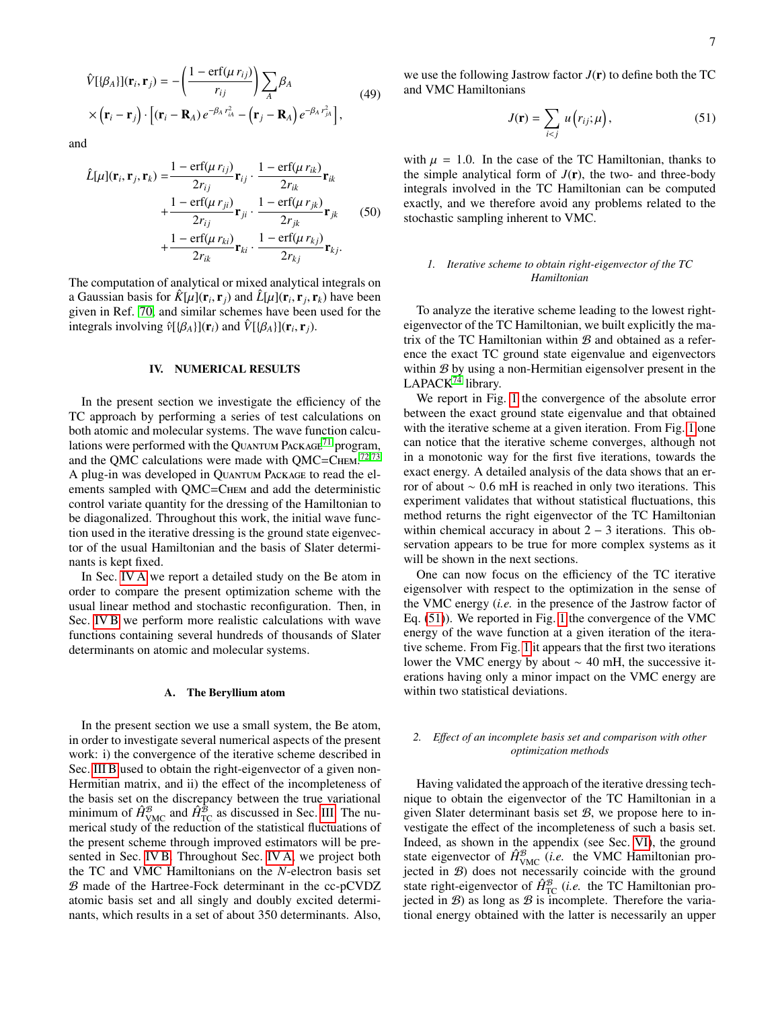$$
\hat{V}[\{\beta_A\}](\mathbf{r}_i, \mathbf{r}_j) = -\left(\frac{1 - \text{erf}(\mu r_{ij})}{r_{ij}}\right) \sum_A \beta_A
$$
\n
$$
\times (\mathbf{r}_i - \mathbf{r}_j) \cdot \left[ (\mathbf{r}_i - \mathbf{R}_A) e^{-\beta_A r_{iA}^2} - (\mathbf{r}_j - \mathbf{R}_A) e^{-\beta_A r_{jA}^2} \right],
$$
\n(49)

and

$$
\hat{L}[\mu](\mathbf{r}_i, \mathbf{r}_j, \mathbf{r}_k) = \frac{1 - \text{erf}(\mu r_{ij})}{2r_{ij}} \mathbf{r}_{ij} \cdot \frac{1 - \text{erf}(\mu r_{ik})}{2r_{ik}} \mathbf{r}_{ik} \n+ \frac{1 - \text{erf}(\mu r_{ji})}{2r_{ij}} \mathbf{r}_{ji} \cdot \frac{1 - \text{erf}(\mu r_{jk})}{2r_{jk}} \mathbf{r}_{jk}
$$
\n
$$
+ \frac{1 - \text{erf}(\mu r_{ki})}{2r_{ik}} \mathbf{r}_{ki} \cdot \frac{1 - \text{erf}(\mu r_{kj})}{2r_{kj}} \mathbf{r}_{kj}.
$$
\n(50)

The computation of analytical or mixed analytical integrals on a Gaussian basis for  $\hat{K}[\mu](\mathbf{r}_i, \mathbf{r}_j)$  and  $\hat{L}[\mu](\mathbf{r}_i, \mathbf{r}_j, \mathbf{r}_k)$  have been<br>given in Ref. 70, and similar schemes have been used for the given in Ref. [70,](#page-12-35) and similar schemes have been used for the integrals involving  $\hat{v}[\{\beta_A\}](\mathbf{r}_i)$  and  $\hat{V}[\{\beta_A\}](\mathbf{r}_i, \mathbf{r}_j)$ .

#### <span id="page-6-0"></span>IV. NUMERICAL RESULTS

In the present section we investigate the efficiency of the TC approach by performing a series of test calculations on both atomic and molecular systems. The wave function calcu-lations were performed with the QUANTUM PACKAGE<sup>[71](#page-12-36)</sup> program, and the QMC calculations were made with QMC=CHEM.<sup>[72,](#page-12-37)[73](#page-12-38)</sup> A plug-in was developed in Quantum Package to read the elements sampled with QMC=CHEM and add the deterministic control variate quantity for the dressing of the Hamiltonian to be diagonalized. Throughout this work, the initial wave function used in the iterative dressing is the ground state eigenvector of the usual Hamiltonian and the basis of Slater determinants is kept fixed.

In Sec. [IV A](#page-6-1) we report a detailed study on the Be atom in order to compare the present optimization scheme with the usual linear method and stochastic reconfiguration. Then, in Sec. [IV B](#page-7-0) we perform more realistic calculations with wave functions containing several hundreds of thousands of Slater determinants on atomic and molecular systems.

## <span id="page-6-1"></span>A. The Beryllium atom

In the present section we use a small system, the Be atom, in order to investigate several numerical aspects of the present work: i) the convergence of the iterative scheme described in Sec. [III B](#page-3-0) used to obtain the right-eigenvector of a given non-Hermitian matrix, and ii) the effect of the incompleteness of the basis set on the discrepancy between the true variational minimum of  $\hat{H}_{\text{VMC}}^{\mathcal{B}}$  and  $\hat{H}_{\text{TC}}^{\mathcal{B}}$  as discussed in Sec. [III.](#page-2-0) The numerical study of the reduction of the statistical fluctuations of the present scheme through improved estimators will be presented in Sec. [IV B.](#page-7-0) Throughout Sec. [IV A,](#page-6-1) we project both the TC and VMC Hamiltonians on the *N*-electron basis set B made of the Hartree-Fock determinant in the cc-pCVDZ atomic basis set and all singly and doubly excited determinants, which results in a set of about 350 determinants. Also,

we use the following Jastrow factor  $J(r)$  to define both the TC and VMC Hamiltonians

<span id="page-6-2"></span>
$$
J(\mathbf{r}) = \sum_{i < j} u\left(r_{ij}; \mu\right),\tag{51}
$$

with  $\mu = 1.0$ . In the case of the TC Hamiltonian, thanks to the simple analytical form of  $J(r)$ , the two- and three-body integrals involved in the TC Hamiltonian can be computed exactly, and we therefore avoid any problems related to the stochastic sampling inherent to VMC.

# *1. Iterative scheme to obtain right-eigenvector of the TC Hamiltonian*

To analyze the iterative scheme leading to the lowest righteigenvector of the TC Hamiltonian, we built explicitly the matrix of the TC Hamiltonian within  $\mathcal{B}$  and obtained as a reference the exact TC ground state eigenvalue and eigenvectors within  $B$  by using a non-Hermitian eigensolver present in the LAPACK<sup>[74](#page-12-39)</sup> library.

We report in Fig. [1](#page-7-1) the convergence of the absolute error between the exact ground state eigenvalue and that obtained with the iterative scheme at a given iteration. From Fig. [1](#page-7-1) one can notice that the iterative scheme converges, although not in a monotonic way for the first five iterations, towards the exact energy. A detailed analysis of the data shows that an error of about <sup>∼</sup> <sup>0</sup>.6 mH is reached in only two iterations. This experiment validates that without statistical fluctuations, this method returns the right eigenvector of the TC Hamiltonian within chemical accuracy in about  $2 - 3$  iterations. This observation appears to be true for more complex systems as it will be shown in the next sections.

One can now focus on the efficiency of the TC iterative eigensolver with respect to the optimization in the sense of the VMC energy (*i.e.* in the presence of the Jastrow factor of Eq. [\(51\)](#page-6-2)). We reported in Fig. [1](#page-7-1) the convergence of the VMC energy of the wave function at a given iteration of the iterative scheme. From Fig. [1](#page-7-1) it appears that the first two iterations lower the VMC energy by about ∼ 40 mH, the successive iterations having only a minor impact on the VMC energy are within two statistical deviations.

## *2. E*ff*ect of an incomplete basis set and comparison with other optimization methods*

Having validated the approach of the iterative dressing technique to obtain the eigenvector of the TC Hamiltonian in a given Slater determinant basis set  $B$ , we propose here to investigate the effect of the incompleteness of such a basis set. Indeed, as shown in the appendix (see Sec. [VI\)](#page-10-0), the ground state eigenvector of  $\hat{H}_{\text{VMC}}^{\mathcal{B}}$  (*i.e.* the VMC Hamiltonian projected in B) does not necessarily coincide with the ground state right-eigenvector of  $\hat{H}_{\text{TC}}^{\mathcal{B}}$  (*i.e.* the TC Hamiltonian projected in  $B$ ) as long as  $B$  is incomplete. Therefore the variational energy obtained with the latter is necessarily an upper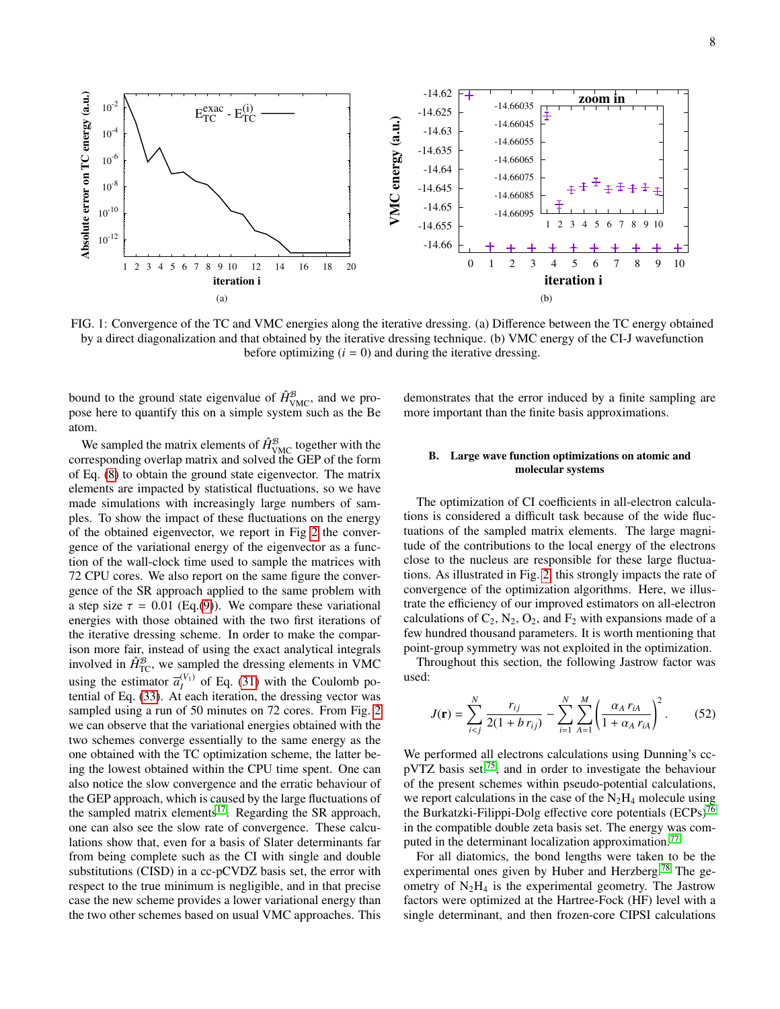<span id="page-7-1"></span>

FIG. 1: Convergence of the TC and VMC energies along the iterative dressing. (a) Difference between the TC energy obtained by a direct diagonalization and that obtained by the iterative dressing technique. (b) VMC energy of the CI-J wavefunction before optimizing  $(i = 0)$  and during the iterative dressing.

bound to the ground state eigenvalue of  $\hat{H}_{\text{VMC}}^{\mathcal{B}}$ , and we propose here to quantify this on a simple system such as the Be atom.

We sampled the matrix elements of  $\hat{H}_{\text{VMC}}^{\mathcal{B}}$  together with the corresponding overlap matrix and solved the GEP of the form of Eq. [\(8\)](#page-2-3) to obtain the ground state eigenvector. The matrix elements are impacted by statistical fluctuations, so we have made simulations with increasingly large numbers of samples. To show the impact of these fluctuations on the energy of the obtained eigenvector, we report in Fig [2](#page-8-0) the convergence of the variational energy of the eigenvector as a function of the wall-clock time used to sample the matrices with 72 CPU cores. We also report on the same figure the convergence of the SR approach applied to the same problem with a step size  $\tau = 0.01$  (Eq.[\(9\)](#page-2-2)). We compare these variational energies with those obtained with the two first iterations of the iterative dressing scheme. In order to make the comparison more fair, instead of using the exact analytical integrals involved in  $\hat{H}_{\text{TC}}^{\mathcal{B}}$ , we sampled the dressing elements in VMC using the estimator  $\overline{a}_{I}^{(V_1)}$  of Eq. [\(31\)](#page-4-3) with the Coulomb potential of Eq. [\(33\)](#page-4-4). At each iteration, the dressing vector was sampled using a run of 50 minutes on 72 cores. From Fig. [2](#page-8-0) we can observe that the variational energies obtained with the two schemes converge essentially to the same energy as the one obtained with the TC optimization scheme, the latter being the lowest obtained within the CPU time spent. One can also notice the slow convergence and the erratic behaviour of the GEP approach, which is caused by the large fluctuations of the sampled matrix elements<sup>[17](#page-11-13)</sup>. Regarding the SR approach, one can also see the slow rate of convergence. These calculations show that, even for a basis of Slater determinants far from being complete such as the CI with single and double substitutions (CISD) in a cc-pCVDZ basis set, the error with respect to the true minimum is negligible, and in that precise case the new scheme provides a lower variational energy than the two other schemes based on usual VMC approaches. This

demonstrates that the error induced by a finite sampling are more important than the finite basis approximations.

## <span id="page-7-0"></span>B. Large wave function optimizations on atomic and molecular systems

The optimization of CI coefficients in all-electron calculations is considered a difficult task because of the wide fluctuations of the sampled matrix elements. The large magnitude of the contributions to the local energy of the electrons close to the nucleus are responsible for these large fluctuations. As illustrated in Fig. [2,](#page-8-0) this strongly impacts the rate of convergence of the optimization algorithms. Here, we illustrate the efficiency of our improved estimators on all-electron calculations of  $C_2$ ,  $N_2$ ,  $O_2$ , and  $F_2$  with expansions made of a few hundred thousand parameters. It is worth mentioning that point-group symmetry was not exploited in the optimization.

Throughout this section, the following Jastrow factor was used:

$$
J(\mathbf{r}) = \sum_{i < j}^{N} \frac{r_{ij}}{2(1 + b \, r_{ij})} - \sum_{i=1}^{N} \sum_{A=1}^{M} \left( \frac{\alpha_A \, r_{iA}}{1 + \alpha_A \, r_{iA}} \right)^2. \tag{52}
$$

We performed all electrons calculations using Dunning's ccpVTZ basis set.[75](#page-12-40), and in order to investigate the behaviour of the present schemes within pseudo-potential calculations, we report calculations in the case of the  $N_2H_4$  molecule using the Burkatzki-Filippi-Dolg effective core potentials (ECPs)<sup>[76](#page-12-41)</sup> in the compatible double zeta basis set. The energy was com-puted in the determinant localization approximation.<sup>[77](#page-12-42)</sup>

For all diatomics, the bond lengths were taken to be the experimental ones given by Huber and Herzberg.<sup>[78](#page-12-43)</sup> The geometry of  $N_2H_4$  is the experimental geometry. The Jastrow factors were optimized at the Hartree-Fock (HF) level with a single determinant, and then frozen-core CIPSI calculations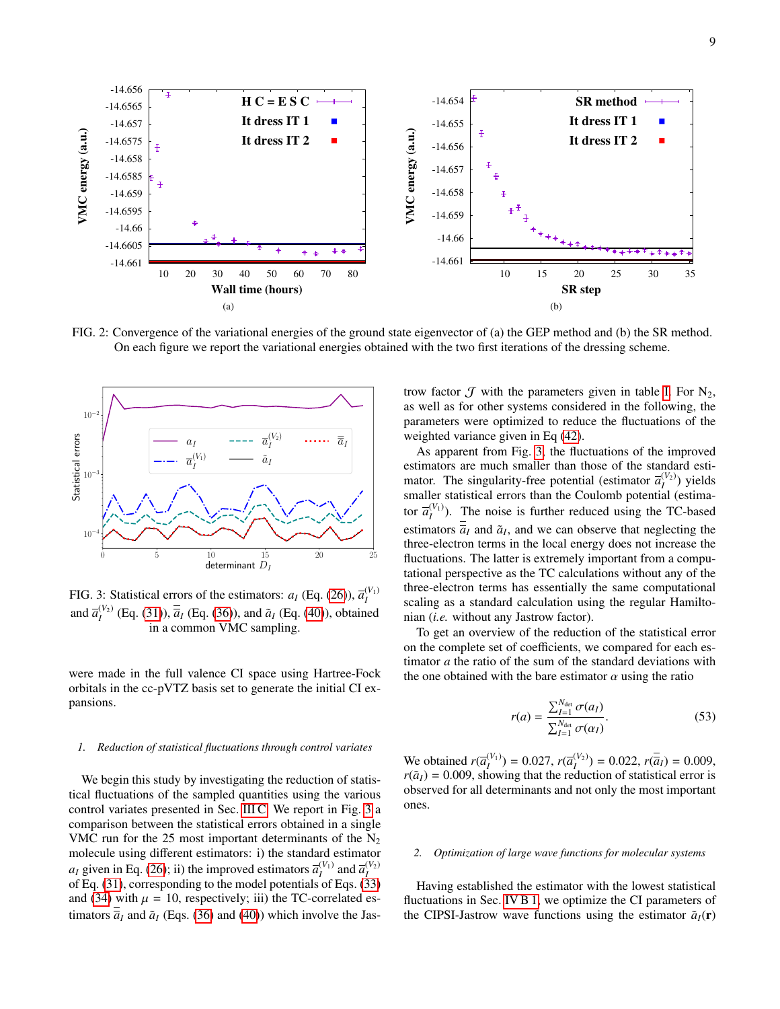<span id="page-8-0"></span>

FIG. 2: Convergence of the variational energies of the ground state eigenvector of (a) the GEP method and (b) the SR method. On each figure we report the variational energies obtained with the two first iterations of the dressing scheme.

<span id="page-8-1"></span>

FIG. 3: Statistical errors of the estimators:  $a_I$  (Eq. [\(26\)](#page-4-2)),  $\overline{a}_I^{(V_1)}$ and  $\bar{a}_I^{(V_2)}$  (Eq. [\(31\)](#page-4-3)),  $\bar{\bar{a}}_I$  (Eq. [\(36\)](#page-5-1)), and  $\tilde{a}_I$  (Eq. [\(40\)](#page-5-0)), obtained in a common VMC sampling.

were made in the full valence CI space using Hartree-Fock orbitals in the cc-pVTZ basis set to generate the initial CI expansions.

## <span id="page-8-2"></span>*1. Reduction of statistical fluctuations through control variates*

We begin this study by investigating the reduction of statistical fluctuations of the sampled quantities using the various control variates presented in Sec. [III C.](#page-4-0) We report in Fig. [3](#page-8-1) a comparison between the statistical errors obtained in a single VMC run for the 25 most important determinants of the  $N_2$ molecule using different estimators: i) the standard estimator *a*<sub>*I*</sub> given in Eq. [\(26\)](#page-4-2); ii) the improved estimators  $\overline{a}_{I}^{(V_1)}$  and  $\overline{a}_{I}^{(V_2)}$ of Eq. [\(31\)](#page-4-3), corresponding to the model potentials of Eqs. [\(33\)](#page-4-4) and [\(34\)](#page-4-5) with  $\mu = 10$ , respectively; iii) the TC-correlated estimators  $\overline{\overline{a}}_I$  and  $\overline{a}_I$  (Eqs. [\(36\)](#page-5-1) and [\(40\)](#page-5-0)) which involve the Jastrow factor  $\mathcal J$  with the parameters given in table [I.](#page-9-0) For  $N_2$ , as well as for other systems considered in the following, the parameters were optimized to reduce the fluctuations of the weighted variance given in Eq [\(42\)](#page-5-2).

As apparent from Fig. [3,](#page-8-1) the fluctuations of the improved estimators are much smaller than those of the standard estimator. The singularity-free potential (estimator  $\overline{a}_{I}^{(V_2)}$ ) yields smaller statistical errors than the Coulomb potential (estimator  $\overline{a}_{I}^{(V_1)}$ ). The noise is further reduced using the TC-based estimators  $\overline{a}_I$  and  $\tilde{a}_I$ , and we can observe that neglecting the three-electron terms in the local energy does not increase the fluctuations. The latter is extremely important from a computational perspective as the TC calculations without any of the three-electron terms has essentially the same computational scaling as a standard calculation using the regular Hamiltonian (*i.e.* without any Jastrow factor).

To get an overview of the reduction of the statistical error on the complete set of coefficients, we compared for each estimator *a* the ratio of the sum of the standard deviations with the one obtained with the bare estimator  $\alpha$  using the ratio

$$
r(a) = \frac{\sum_{I=1}^{N_{\text{det}}} \sigma(a_I)}{\sum_{I=1}^{N_{\text{det}}} \sigma(\alpha_I)}.
$$
 (53)

We obtained  $r(\overline{a}_I^{(V_1)}) = 0.027$ ,  $r(\overline{a}_I^{(V_2)}) = 0.022$ ,  $r(\overline{a}_I) = 0.009$ ,  $r(\overline{a}_I) = 0.009$ , showing that the reduction of statistical error is  $r(\tilde{a}_I) = 0.009$ , showing that the reduction of statistical error is observed for all determinants and not only the most important ones.

### <span id="page-8-3"></span>*2. Optimization of large wave functions for molecular systems*

Having established the estimator with the lowest statistical fluctuations in Sec. [IV B 1,](#page-8-2) we optimize the CI parameters of the CIPSI-Jastrow wave functions using the estimator  $\tilde{a}_I(\mathbf{r})$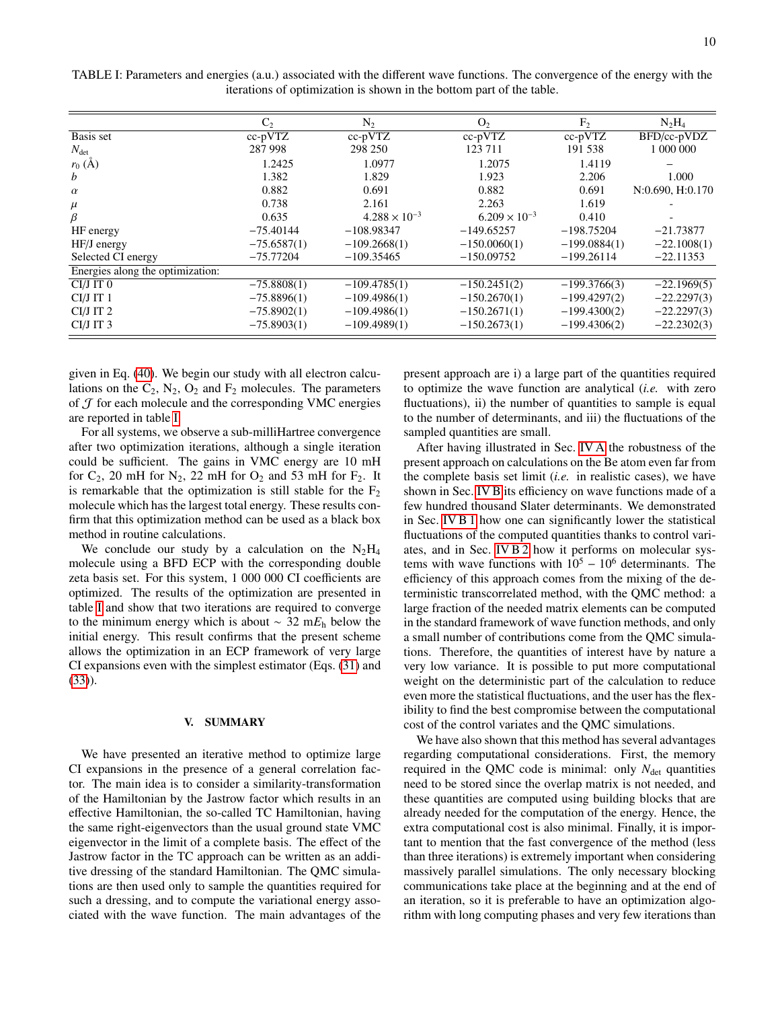| N <sub>2</sub> | O <sub>2</sub>                                                                                     | F <sub>2</sub>         |                        |
|----------------|----------------------------------------------------------------------------------------------------|------------------------|------------------------|
|                |                                                                                                    |                        | $N_2H_4$               |
|                | $cc$ -p $VTZ$                                                                                      | $cc$ -p $VTZ$          | BFD/cc-pVDZ            |
| 298 250        | 123 711                                                                                            | 191 538                | 1 000 000              |
| 1.0977         | 1.2075                                                                                             | 1.4119                 |                        |
| 1.829          | 1.923                                                                                              | 2.206                  | 1.000                  |
| 0.691          | 0.882                                                                                              | 0.691                  | N:0.690, H:0.170       |
| 2.161          | 2.263                                                                                              | 1.619                  |                        |
|                |                                                                                                    | 0.410                  |                        |
| $-108.98347$   | $-149.65257$                                                                                       | $-198.75204$           | $-21.73877$            |
| $-109.2668(1)$ | $-150.0060(1)$                                                                                     | $-199.0884(1)$         | $-22.1008(1)$          |
| $-109.35465$   | $-150.09752$                                                                                       | $-199.26114$           | $-22.11353$            |
|                |                                                                                                    |                        |                        |
| $-109.4785(1)$ | $-150.2451(2)$                                                                                     | $-199.3766(3)$         | $-22.1969(5)$          |
| $-109.4986(1)$ | $-150.2670(1)$                                                                                     | $-199.4297(2)$         | $-22.2297(3)$          |
| $-109.4986(1)$ | $-150.2671(1)$                                                                                     | $-199.4300(2)$         | $-22.2297(3)$          |
| $-109.4989(1)$ | $-150.2673(1)$                                                                                     | $-199.4306(2)$         | $-22.2302(3)$          |
|                | $cc$ -p $VTZ$<br>$-75.6587(1)$<br>$-75.8808(1)$<br>$-75.8896(1)$<br>$-75.8902(1)$<br>$-75.8903(1)$ | $4.288 \times 10^{-3}$ | $6.209 \times 10^{-3}$ |

<span id="page-9-0"></span>TABLE I: Parameters and energies (a.u.) associated with the different wave functions. The convergence of the energy with the iterations of optimization is shown in the bottom part of the table.

given in Eq. [\(40\)](#page-5-0). We begin our study with all electron calculations on the  $C_2$ ,  $N_2$ ,  $O_2$  and  $F_2$  molecules. The parameters of  $J$  for each molecule and the corresponding VMC energies are reported in table [I.](#page-9-0)

For all systems, we observe a sub-milliHartree convergence after two optimization iterations, although a single iteration could be sufficient. The gains in VMC energy are 10 mH for  $C_2$ , 20 mH for  $N_2$ , 22 mH for  $O_2$  and 53 mH for  $F_2$ . It is remarkable that the optimization is still stable for the  $F_2$ molecule which has the largest total energy. These results confirm that this optimization method can be used as a black box method in routine calculations.

We conclude our study by a calculation on the  $N_2H_4$ molecule using a BFD ECP with the corresponding double zeta basis set. For this system, 1 000 000 CI coefficients are optimized. The results of the optimization are presented in table [I](#page-9-0) and show that two iterations are required to converge to the minimum energy which is about ∼ 32 m*E*<sup>h</sup> below the initial energy. This result confirms that the present scheme allows the optimization in an ECP framework of very large CI expansions even with the simplest estimator (Eqs. [\(31\)](#page-4-3) and [\(33\)](#page-4-4)).

### V. SUMMARY

We have presented an iterative method to optimize large CI expansions in the presence of a general correlation factor. The main idea is to consider a similarity-transformation of the Hamiltonian by the Jastrow factor which results in an effective Hamiltonian, the so-called TC Hamiltonian, having the same right-eigenvectors than the usual ground state VMC eigenvector in the limit of a complete basis. The effect of the Jastrow factor in the TC approach can be written as an additive dressing of the standard Hamiltonian. The QMC simulations are then used only to sample the quantities required for such a dressing, and to compute the variational energy associated with the wave function. The main advantages of the present approach are i) a large part of the quantities required to optimize the wave function are analytical (*i.e.* with zero fluctuations), ii) the number of quantities to sample is equal to the number of determinants, and iii) the fluctuations of the sampled quantities are small.

After having illustrated in Sec. [IV A](#page-6-1) the robustness of the present approach on calculations on the Be atom even far from the complete basis set limit (*i.e.* in realistic cases), we have shown in Sec. [IV B](#page-7-0) its efficiency on wave functions made of a few hundred thousand Slater determinants. We demonstrated in Sec. [IV B 1](#page-8-2) how one can significantly lower the statistical fluctuations of the computed quantities thanks to control variates, and in Sec. [IV B 2](#page-8-3) how it performs on molecular systems with wave functions with  $10^5 - 10^6$  determinants. The efficiency of this approach comes from the mixing of the deterministic transcorrelated method, with the QMC method: a large fraction of the needed matrix elements can be computed in the standard framework of wave function methods, and only a small number of contributions come from the QMC simulations. Therefore, the quantities of interest have by nature a very low variance. It is possible to put more computational weight on the deterministic part of the calculation to reduce even more the statistical fluctuations, and the user has the flexibility to find the best compromise between the computational cost of the control variates and the QMC simulations.

We have also shown that this method has several advantages regarding computational considerations. First, the memory required in the QMC code is minimal: only  $N_{\text{det}}$  quantities need to be stored since the overlap matrix is not needed, and these quantities are computed using building blocks that are already needed for the computation of the energy. Hence, the extra computational cost is also minimal. Finally, it is important to mention that the fast convergence of the method (less than three iterations) is extremely important when considering massively parallel simulations. The only necessary blocking communications take place at the beginning and at the end of an iteration, so it is preferable to have an optimization algorithm with long computing phases and very few iterations than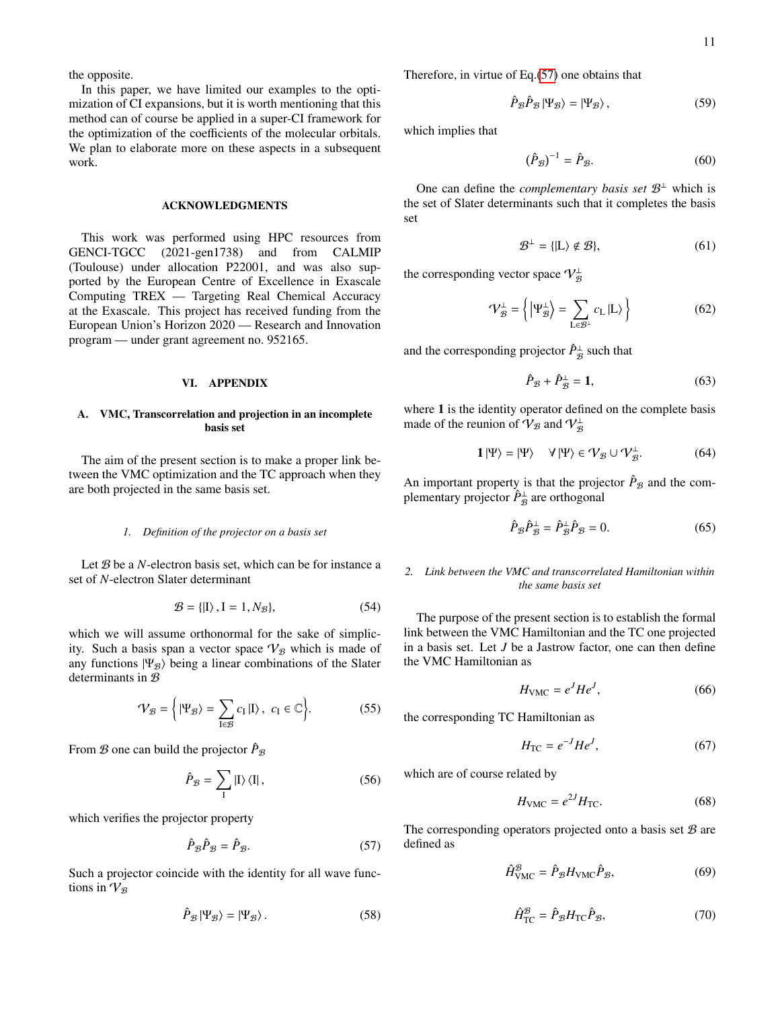the opposite.

In this paper, we have limited our examples to the optimization of CI expansions, but it is worth mentioning that this method can of course be applied in a super-CI framework for the optimization of the coefficients of the molecular orbitals. We plan to elaborate more on these aspects in a subsequent work.

#### ACKNOWLEDGMENTS

This work was performed using HPC resources from GENCI-TGCC (2021-gen1738) and from CALMIP (Toulouse) under allocation P22001, and was also supported by the European Centre of Excellence in Exascale Computing TREX — Targeting Real Chemical Accuracy at the Exascale. This project has received funding from the European Union's Horizon 2020 — Research and Innovation program — under grant agreement no. 952165.

#### <span id="page-10-0"></span>VI. APPENDIX

## A. VMC, Transcorrelation and projection in an incomplete basis set

The aim of the present section is to make a proper link between the VMC optimization and the TC approach when they are both projected in the same basis set.

## *1. Definition of the projector on a basis set*

Let B be a *N*-electron basis set, which can be for instance a set of *N*-electron Slater determinant

$$
\mathcal{B} = \{ |I\rangle, I = 1, N_{\mathcal{B}} \},\tag{54}
$$

which we will assume orthonormal for the sake of simplicity. Such a basis span a vector space  $V_B$  which is made of any functions  $|\Psi_{\mathcal{B}}\rangle$  being a linear combinations of the Slater determinants in  $B$ 

$$
\mathcal{V}_{\mathcal{B}} = \left\{ |\Psi_{\mathcal{B}}\rangle = \sum_{I \in \mathcal{B}} c_I |I\rangle, \ c_I \in \mathbb{C} \right\}.
$$
 (55)

From  $\mathcal B$  one can build the projector  $\hat P_{\mathcal B}$ 

$$
\hat{P}_{\mathcal{B}} = \sum_{\mathbf{I}} |\mathbf{I}\rangle\langle\mathbf{I}|,\tag{56}
$$

which verifies the projector property

<span id="page-10-1"></span>
$$
\hat{P}_{\mathcal{B}}\hat{P}_{\mathcal{B}} = \hat{P}_{\mathcal{B}}.\tag{57}
$$

Such a projector coincide with the identity for all wave functions in  $V_{\mathcal{B}}$ 

$$
\hat{P}_{\mathcal{B}}|\Psi_{\mathcal{B}}\rangle = |\Psi_{\mathcal{B}}\rangle. \tag{58}
$$

Therefore, in virtue of Eq.[\(57\)](#page-10-1) one obtains that

$$
\hat{P}_{\mathcal{B}}\hat{P}_{\mathcal{B}}|\Psi_{\mathcal{B}}\rangle = |\Psi_{\mathcal{B}}\rangle,\tag{59}
$$

which implies that

$$
(\hat{P}_{\mathcal{B}})^{-1} = \hat{P}_{\mathcal{B}}.\tag{60}
$$

One can define the *complementary basis set*  $\mathcal{B}^{\perp}$  which is the set of Slater determinants such that it completes the basis set

$$
\mathcal{B}^{\perp} = \{ |L\rangle \notin \mathcal{B} \},\tag{61}
$$

the corresponding vector space  $\mathcal{V}_{\mathcal{B}}^{\perp}$ 

$$
\mathcal{V}_{\mathcal{B}}^{\perp} = \left\{ \left| \Psi_{\mathcal{B}}^{\perp} \right\rangle = \sum_{\mathbf{L} \in \mathcal{B}^{\perp}} c_{\mathbf{L}} \left| \mathbf{L} \right\rangle \right\}
$$
(62)

and the corresponding projector  $\hat{P}_{\mathcal{B}}^{\perp}$  such that

$$
\hat{P}_{\mathcal{B}} + \hat{P}_{\mathcal{B}}^{\perp} = \mathbf{1},\tag{63}
$$

where 1 is the identity operator defined on the complete basis made of the reunion of  $\mathcal{V}_{\mathcal{B}}$  and  $\mathcal{V}_{\mathcal{B}}^{\perp}$ 

$$
1|\Psi\rangle = |\Psi\rangle \quad \forall |\Psi\rangle \in \mathcal{V}_{\mathcal{B}} \cup \mathcal{V}_{\mathcal{B}}^{\perp}.
$$
 (64)

An important property is that the projector  $\hat{P}_{\mathcal{B}}$  and the complementary projector  $\hat{P}_{\mathcal{B}}^{\perp}$  are orthogonal

<span id="page-10-2"></span>
$$
\hat{P}_{\mathcal{B}}\hat{P}_{\mathcal{B}}^{\perp} = \hat{P}_{\mathcal{B}}^{\perp}\hat{P}_{\mathcal{B}} = 0.
$$
 (65)

### *2. Link between the VMC and transcorrelated Hamiltonian within the same basis set*

The purpose of the present section is to establish the formal link between the VMC Hamiltonian and the TC one projected in a basis set. Let *J* be a Jastrow factor, one can then define the VMC Hamiltonian as

$$
H_{\text{VMC}} = e^{J} H e^{J},\tag{66}
$$

the corresponding TC Hamiltonian as

$$
H_{\rm TC} = e^{-J} H e^J,\tag{67}
$$

which are of course related by

$$
H_{\text{VMC}} = e^{2J} H_{\text{TC}}.\tag{68}
$$

The corresponding operators projected onto a basis set  $B$  are defined as

$$
\hat{H}^{\mathcal{B}}_{\text{VMC}} = \hat{P}_{\mathcal{B}} H_{\text{VMC}} \hat{P}_{\mathcal{B}},\tag{69}
$$

$$
\hat{H}_{\rm TC}^{\mathcal{B}} = \hat{P}_{\mathcal{B}} H_{\rm TC} \hat{P}_{\mathcal{B}},\tag{70}
$$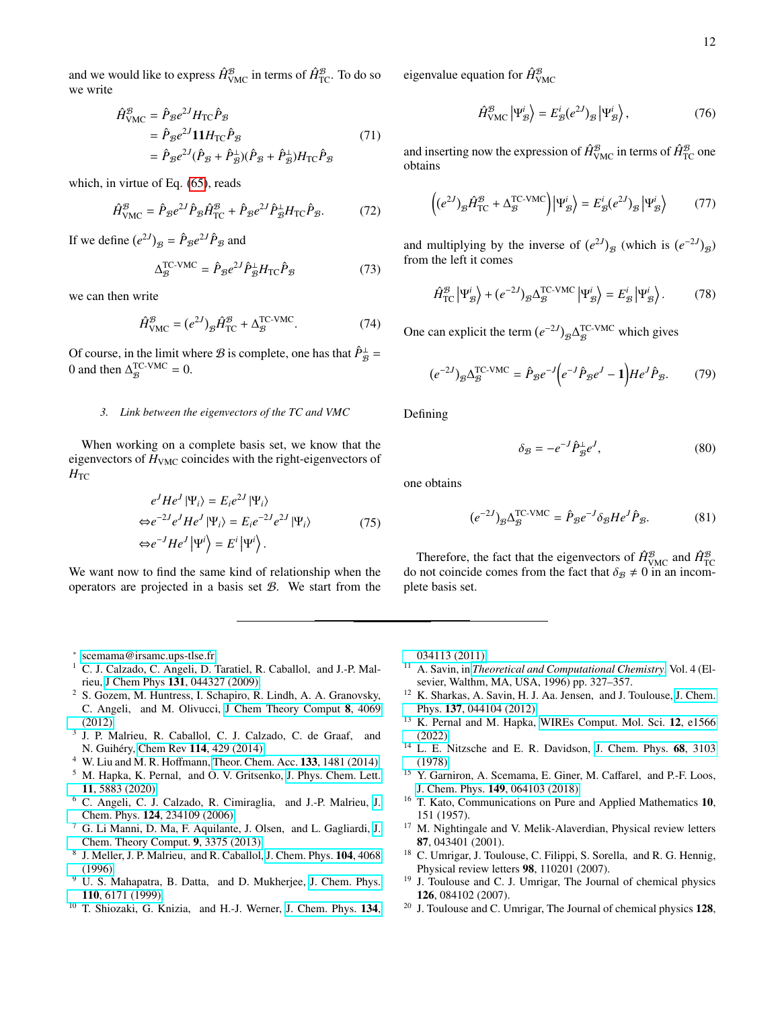and we would like to express  $\hat{H}^{\mathcal{B}}_{\text{VMC}}$  in terms of  $\hat{H}^{\mathcal{B}}_{\text{TC}}.$  To do so we write

$$
\hat{H}_{\text{VMC}}^{\mathcal{B}} = \hat{P}_{\mathcal{B}} e^{2J} H_{\text{TC}} \hat{P}_{\mathcal{B}}
$$
\n
$$
= \hat{P}_{\mathcal{B}} e^{2J} \mathbf{1} H_{\text{TC}} \hat{P}_{\mathcal{B}}
$$
\n
$$
= \hat{P}_{\mathcal{B}} e^{2J} (\hat{P}_{\mathcal{B}} + \hat{P}_{\mathcal{B}}^{\perp}) (\hat{P}_{\mathcal{B}} + \hat{P}_{\mathcal{B}}^{\perp}) H_{\text{TC}} \hat{P}_{\mathcal{B}}
$$
\n(71)

which, in virtue of Eq. [\(65\)](#page-10-2), reads

$$
\hat{H}^{\mathcal{B}}_{\text{VMC}} = \hat{P}_{\mathcal{B}} e^{2J} \hat{P}_{\mathcal{B}} \hat{H}^{\mathcal{B}}_{\text{TC}} + \hat{P}_{\mathcal{B}} e^{2J} \hat{P}^{\perp}_{\mathcal{B}} H_{\text{TC}} \hat{P}_{\mathcal{B}}.
$$
 (72)

If we define  $(e^{2J})_B = \hat{P}_B e^{2J} \hat{P}_B$  and

$$
\Delta_{\mathcal{B}}^{\text{TC-VMC}} = \hat{P}_{\mathcal{B}} e^{2J} \hat{P}_{\mathcal{B}}^{\perp} H_{\text{TC}} \hat{P}_{\mathcal{B}} \tag{73}
$$

we can then write

$$
\hat{H}^{\mathcal{B}}_{\text{VMC}} = (e^{2J})_{\mathcal{B}} \hat{H}^{\mathcal{B}}_{\text{TC}} + \Delta_{\mathcal{B}}^{\text{TC-VMC}}.
$$
\n(74)

Of course, in the limit where *B* is complete, one has that  $\hat{P}_{\hat{B}}^{\perp}$  = 0 and then  $\Delta_{\mathcal{B}}^{\text{TC-VMC}} = 0$ .

# *3. Link between the eigenvectors of the TC and VMC*

When working on a complete basis set, we know that the eigenvectors of  $H<sub>VMC</sub>$  coincides with the right-eigenvectors of  $H_{TC}$ 

$$
e^{J}He^{J}|\Psi_{i}\rangle = E_{i}e^{2J}|\Psi_{i}\rangle
$$
  
\n
$$
\Leftrightarrow e^{-2J}e^{J}He^{J}|\Psi_{i}\rangle = E_{i}e^{-2J}e^{2J}|\Psi_{i}\rangle
$$
  
\n
$$
\Leftrightarrow e^{-J}He^{J}|\Psi^{i}\rangle = E^{i}|\Psi^{i}\rangle.
$$
 (75)

We want now to find the same kind of relationship when the operators are projected in a basis set  $B$ . We start from the eigenvalue equation for  $\hat{H}_{\text{VMC}}^{\mathcal{B}}$ 

$$
\hat{H}_{\text{VMC}}^{\mathcal{B}} \left| \Psi_{\mathcal{B}}^{i} \right\rangle = E_{\mathcal{B}}^{i} (e^{2J})_{\mathcal{B}} \left| \Psi_{\mathcal{B}}^{i} \right\rangle, \tag{76}
$$

and inserting now the expression of  $\hat{H}^{\mathcal{B}}_{\text{VMC}}$  in terms of  $\hat{H}^{\mathcal{B}}_{\text{TC}}$  one obtains

$$
\left( (e^{2J})_{\mathcal{B}} \hat{H}_{\text{TC}}^{\mathcal{B}} + \Delta_{\mathcal{B}}^{\text{TC-VMC}} \right) \left| \Psi_{\mathcal{B}}^{i} \right\rangle = E_{\mathcal{B}}^{i} (e^{2J})_{\mathcal{B}} \left| \Psi_{\mathcal{B}}^{i} \right\rangle \tag{77}
$$

and multiplying by the inverse of  $(e^{2J})_B$  (which is  $(e^{-2J})_B$ ) from the left it comes

$$
\hat{H}_{\rm TC}^{\mathcal{B}} \left| \Psi_{\mathcal{B}}^{i} \right\rangle + (e^{-2J})_{\mathcal{B}} \Delta_{\mathcal{B}}^{\rm TC-VMC} \left| \Psi_{\mathcal{B}}^{i} \right\rangle = E_{\mathcal{B}}^{i} \left| \Psi_{\mathcal{B}}^{i} \right\rangle. \tag{78}
$$

One can explicit the term  $(e^{-2J})_{\mathcal{B}} \Delta_{\mathcal{B}}^{\text{TC-VMC}}$  which gives

$$
(e^{-2J})_{\mathcal{B}}\Delta_{\mathcal{B}}^{\text{TC-VMC}} = \hat{P}_{\mathcal{B}}e^{-J}(e^{-J}\hat{P}_{\mathcal{B}}e^{J} - 1)He^{J}\hat{P}_{\mathcal{B}}.
$$
 (79)

Defining

$$
\delta_{\mathcal{B}} = -e^{-J}\hat{P}_{\mathcal{B}}^{\perp}e^{J},\tag{80}
$$

one obtains

$$
(e^{-2J})_{\mathcal{B}}\Delta_{\mathcal{B}}^{\text{TC-VMC}} = \hat{P}_{\mathcal{B}}e^{-J}\delta_{\mathcal{B}}He^{J}\hat{P}_{\mathcal{B}}.
$$
 (81)

Therefore, the fact that the eigenvectors of  $\hat{H}_{\text{VMC}}^{\mathcal{B}}$  and  $\hat{H}_{\text{TC}}^{\mathcal{B}}$ do not coincide comes from the fact that  $\delta_{\beta} \neq 0$  in an incomplete basis set.

<span id="page-11-0"></span>∗ [scemama@irsamc.ups-tlse.fr](mailto:scemama@irsamc.ups-tlse.fr)

- <span id="page-11-1"></span><sup>1</sup> C. J. Calzado, C. Angeli, D. Taratiel, R. Caballol, and J.-P. Malrieu, J Chem Phys 131[, 044327 \(2009\).](http://dx.doi.org/ 10.1063/1.3185506)
- <sup>2</sup> S. Gozem, M. Huntress, I. Schapiro, R. Lindh, A. A. Granovsky, C. Angeli, and M. Olivucci, [J Chem Theory Comput](http://dx.doi.org/ 10.1021/ct3003139) 8, 4069 [\(2012\).](http://dx.doi.org/ 10.1021/ct3003139)
- 3 J. P. Malrieu, R. Caballol, C. J. Calzado, C. de Graaf, and N. Guihéry, Chem Rev 114[, 429 \(2014\).](http://dx.doi.org/ 10.1021/cr300500z)
- <sup>4</sup> W. Liu and M. R. Hoffmann, [Theor. Chem. Acc.](http://dx.doi.org/10.1007/s00214-014-1481-x) 133, 1481 (2014).
- <span id="page-11-2"></span><sup>5</sup> M. Hapka, K. Pernal, and O. V. Gritsenko, [J. Phys. Chem. Lett.](http://dx.doi.org/10.1021/acs.jpclett.0c01616) 11[, 5883 \(2020\).](http://dx.doi.org/10.1021/acs.jpclett.0c01616)
- <span id="page-11-3"></span><sup>6</sup> C. Angeli, C. J. Calzado, R. Cimiraglia, and J.-P. Malrieu, [J.](http://dx.doi.org/10.1063/1.2202738) Chem. Phys. 124[, 234109 \(2006\).](http://dx.doi.org/10.1063/1.2202738)
- <span id="page-11-4"></span> $^7$  G. Li Manni, D. Ma, F. Aquilante, [J.](http://dx.doi.org/ 10.1021/ct400046n) Olsen, and L. Gagliardi, J. [Chem. Theory Comput.](http://dx.doi.org/ 10.1021/ct400046n) 9, 3375 (2013).
- <span id="page-11-5"></span>8 J. Meller, J. P. Malrieu, and R. Caballol, [J. Chem. Phys.](http://dx.doi.org/10.1063/1.471220) 104, 4068 [\(1996\).](http://dx.doi.org/10.1063/1.471220)
- <span id="page-11-6"></span><sup>9</sup> U. S. Mahapatra, B. Datta, and D. Mukherjee, [J. Chem. Phys.](http://dx.doi.org/10.1063/1.478523) 110[, 6171 \(1999\).](http://dx.doi.org/10.1063/1.478523)
- <span id="page-11-7"></span><sup>10</sup> T. Shiozaki, G. Knizia, and H.-J. Werner, [J. Chem. Phys.](http://dx.doi.org/10.1063/1.3528720) 134,

[034113 \(2011\).](http://dx.doi.org/10.1063/1.3528720)

- <span id="page-11-8"></span><sup>11</sup> A. Savin, in *[Theoretical and Computational Chemistry](http://dx.doi.org/10.1016/S1380-7323(96)80091-4)*, Vol. 4 (Elsevier, Walthm, MA, USA, 1996) pp. 327–357.
- <sup>12</sup> K. Sharkas, A. Savin, H. J. Aa. Jensen, and J. Toulouse, [J. Chem.](http://dx.doi.org/10.1063/1.4733672) Phys. 137[, 044104 \(2012\).](http://dx.doi.org/10.1063/1.4733672)
- <span id="page-11-9"></span><sup>13</sup> K. Pernal and M. Hapka, [WIREs Comput. Mol. Sci.](http://dx.doi.org/10.1002/wcms.1566) 12, e1566 [\(2022\).](http://dx.doi.org/10.1002/wcms.1566)
- <span id="page-11-10"></span><sup>14</sup> L. E. Nitzsche and E. R. Davidson, [J. Chem. Phys.](http://dx.doi.org/10.1063/1.436151) 68, 3103 [\(1978\).](http://dx.doi.org/10.1063/1.436151)
- <span id="page-11-11"></span><sup>15</sup> Y. Garniron, A. Scemama, E. Giner, M. Caffarel, and P.-F. Loos, J. Chem. Phys. 149[, 064103 \(2018\).](http://dx.doi.org/ 10.1063/1.5044503)
- <span id="page-11-12"></span><sup>16</sup> T. Kato, Communications on Pure and Applied Mathematics 10, 151 (1957).
- <span id="page-11-13"></span><sup>17</sup> M. Nightingale and V. Melik-Alaverdian, Physical review letters 87, 043401 (2001).
- <sup>18</sup> C. Umrigar, J. Toulouse, C. Filippi, S. Sorella, and R. G. Hennig, Physical review letters 98, 110201 (2007).
- <sup>19</sup> J. Toulouse and C. J. Umrigar, The Journal of chemical physics 126, 084102 (2007).
- <span id="page-11-14"></span> $20\,$  J. Toulouse and C. Umrigar, The Journal of chemical physics 128,